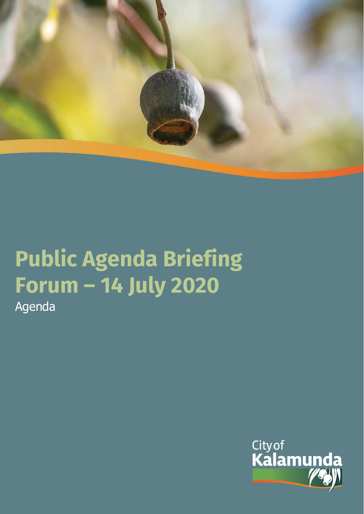

# **Public Agenda Briefing Forum – 14 July 2020**

Agenda

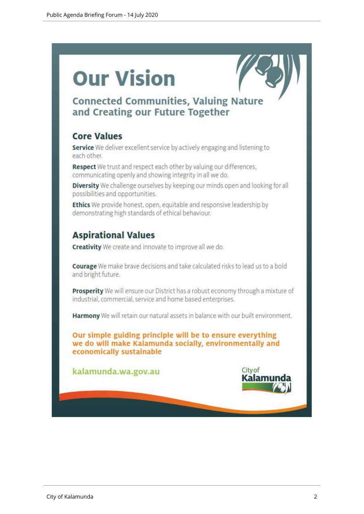# **Our Vision**



# **Connected Communities, Valuing Nature** and Creating our Future Together

# **Core Values**

Service We deliver excellent service by actively engaging and listening to each other.

Respect We trust and respect each other by valuing our differences, communicating openly and showing integrity in all we do.

Diversity We challenge ourselves by keeping our minds open and looking for all possibilities and opportunities.

Ethics We provide honest, open, equitable and responsive leadership by demonstrating high standards of ethical behaviour.

# **Aspirational Values**

**Creativity** We create and innovate to improve all we do.

Courage We make brave decisions and take calculated risks to lead us to a bold and bright future.

Prosperity We will ensure our District has a robust economy through a mixture of industrial, commercial, service and home based enterprises.

Harmony We will retain our natural assets in balance with our built environment.

Our simple guiding principle will be to ensure everything we do will make Kalamunda socially, environmentally and economically sustainable

kalamunda.wa.gov.au

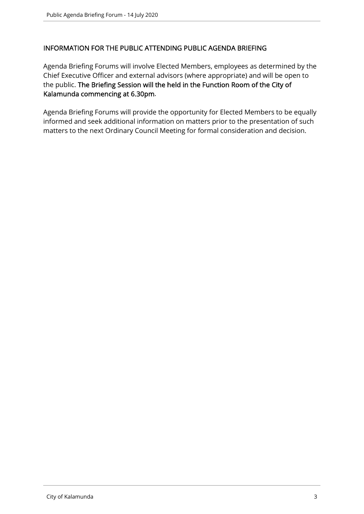#### INFORMATION FOR THE PUBLIC ATTENDING PUBLIC AGENDA BRIEFING

Agenda Briefing Forums will involve Elected Members, employees as determined by the Chief Executive Officer and external advisors (where appropriate) and will be open to the public. The Briefing Session will the held in the Function Room of the City of Kalamunda commencing at 6.30pm.

Agenda Briefing Forums will provide the opportunity for Elected Members to be equally informed and seek additional information on matters prior to the presentation of such matters to the next Ordinary Council Meeting for formal consideration and decision.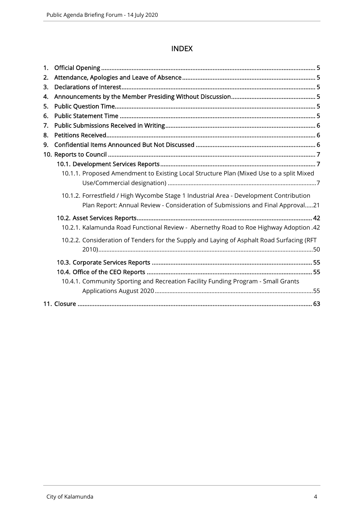### INDEX

| 1. |                                                                                                                                                                          |
|----|--------------------------------------------------------------------------------------------------------------------------------------------------------------------------|
| 2. |                                                                                                                                                                          |
| 3. |                                                                                                                                                                          |
| 4. |                                                                                                                                                                          |
| 5. |                                                                                                                                                                          |
| 6. |                                                                                                                                                                          |
| 7. |                                                                                                                                                                          |
| 8. |                                                                                                                                                                          |
| 9. |                                                                                                                                                                          |
|    |                                                                                                                                                                          |
|    |                                                                                                                                                                          |
|    | 10.1.1. Proposed Amendment to Existing Local Structure Plan (Mixed Use to a split Mixed                                                                                  |
|    |                                                                                                                                                                          |
|    | 10.1.2. Forrestfield / High Wycombe Stage 1 Industrial Area - Development Contribution<br>Plan Report: Annual Review - Consideration of Submissions and Final Approval21 |
|    |                                                                                                                                                                          |
|    | 10.2.1. Kalamunda Road Functional Review - Abernethy Road to Roe Highway Adoption .42                                                                                    |
|    | 10.2.2. Consideration of Tenders for the Supply and Laying of Asphalt Road Surfacing (RFT                                                                                |
|    |                                                                                                                                                                          |
|    |                                                                                                                                                                          |
|    |                                                                                                                                                                          |
|    | 10.4.1. Community Sporting and Recreation Facility Funding Program - Small Grants                                                                                        |
|    |                                                                                                                                                                          |
|    |                                                                                                                                                                          |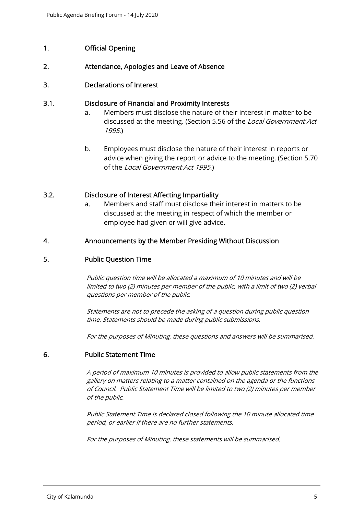#### 1. Official Opening

#### 2. Attendance, Apologies and Leave of Absence

#### 3. Declarations of Interest

#### 3.1. Disclosure of Financial and Proximity Interests

- a. Members must disclose the nature of their interest in matter to be discussed at the meeting. (Section 5.56 of the *Local Government Act* 1995.)
- b. Employees must disclose the nature of their interest in reports or advice when giving the report or advice to the meeting. (Section 5.70 of the Local Government Act 1995.)

#### 3.2. Disclosure of Interest Affecting Impartiality

a. Members and staff must disclose their interest in matters to be discussed at the meeting in respect of which the member or employee had given or will give advice.

#### 4. Announcements by the Member Presiding Without Discussion

#### 5. Public Question Time

Public question time will be allocated a maximum of 10 minutes and will be limited to two (2) minutes per member of the public, with a limit of two (2) verbal questions per member of the public.

Statements are not to precede the asking of a question during public question time. Statements should be made during public submissions.

For the purposes of Minuting, these questions and answers will be summarised.

#### 6. Public Statement Time

A period of maximum 10 minutes is provided to allow public statements from the gallery on matters relating to a matter contained on the agenda or the functions of Council. Public Statement Time will be limited to two (2) minutes per member of the public.

Public Statement Time is declared closed following the 10 minute allocated time period, or earlier if there are no further statements.

For the purposes of Minuting, these statements will be summarised.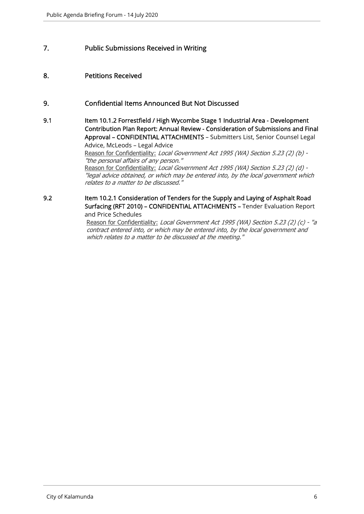#### 7. Public Submissions Received in Writing

#### 8. Petitions Received

#### 9. Confidential Items Announced But Not Discussed

9.1 Item 10.1.2 Forrestfield / High Wycombe Stage 1 Industrial Area - Development Contribution Plan Report: Annual Review - Consideration of Submissions and Final Approval – CONFIDENTIAL ATTACHMENTS – Submitters List, Senior Counsel Legal Advice, McLeods – Legal Advice Reason for Confidentiality: Local Government Act 1995 (WA) Section 5.23 (2) (b) -"the personal affairs of any person." Reason for Confidentiality: Local Government Act 1995 (WA) Section 5.23 (2) (d) -"legal advice obtained, or which may be entered into, by the local government which

relates to a matter to be discussed."

9.2 Item 10.2.1 Consideration of Tenders for the Supply and Laying of Asphalt Road Surfacing (RFT 2010) – CONFIDENTIAL ATTACHMENTS – Tender Evaluation Report and Price Schedules

> Reason for Confidentiality: Local Government Act 1995 (WA) Section 5.23 (2) (c) - "a contract entered into, or which may be entered into, by the local government and which relates to a matter to be discussed at the meeting."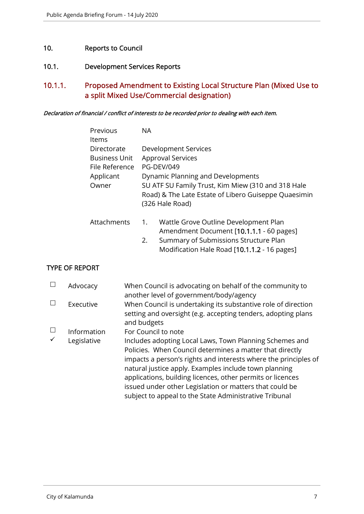#### 10. Reports to Council

#### 10.1. Development Services Reports

# 10.1.1. Proposed Amendment to Existing Local Structure Plan (Mixed Use to a split Mixed Use/Commercial designation)

#### Declaration of financial / conflict of interests to be recorded prior to dealing with each item.

| Previous             | NA. |                                                                                                                               |
|----------------------|-----|-------------------------------------------------------------------------------------------------------------------------------|
| Items                |     |                                                                                                                               |
| Directorate          |     | Development Services                                                                                                          |
| <b>Business Unit</b> |     | <b>Approval Services</b>                                                                                                      |
| File Reference       |     | <b>PG-DEV/049</b>                                                                                                             |
| Applicant            |     | Dynamic Planning and Developments                                                                                             |
| Owner                |     | SU ATF SU Family Trust, Kim Miew (310 and 318 Hale<br>Road) & The Late Estate of Libero Guiseppe Quaesimin<br>(326 Hale Road) |
| Attachments          | 1.  | Wattle Grove Outline Development Plan<br>Amendment Document [10.1.1.1 - 60 pages]                                             |

2. Summary of Submissions Structure Plan Modification Hale Road [10.1.1.2 - 16 pages]

#### TYPE OF REPORT

|        | Advocacy    | When Council is advocating on behalf of the community to<br>another level of government/body/agency                                                                                                                                                                                                                                                                                                                                |
|--------|-------------|------------------------------------------------------------------------------------------------------------------------------------------------------------------------------------------------------------------------------------------------------------------------------------------------------------------------------------------------------------------------------------------------------------------------------------|
|        | Executive   | When Council is undertaking its substantive role of direction<br>setting and oversight (e.g. accepting tenders, adopting plans<br>and budgets                                                                                                                                                                                                                                                                                      |
| $\Box$ | Information | For Council to note                                                                                                                                                                                                                                                                                                                                                                                                                |
|        | Legislative | Includes adopting Local Laws, Town Planning Schemes and<br>Policies. When Council determines a matter that directly<br>impacts a person's rights and interests where the principles of<br>natural justice apply. Examples include town planning<br>applications, building licences, other permits or licences<br>issued under other Legislation or matters that could be<br>subject to appeal to the State Administrative Tribunal |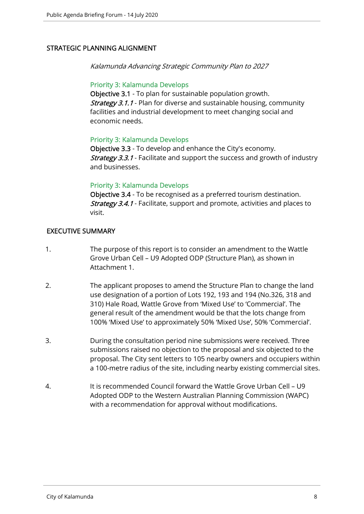#### STRATEGIC PLANNING ALIGNMENT

Kalamunda Advancing Strategic Community Plan to 2027

#### Priority 3: Kalamunda Develops

Objective 3.1 - To plan for sustainable population growth. **Strategy 3.1.1** - Plan for diverse and sustainable housing, community facilities and industrial development to meet changing social and economic needs.

#### Priority 3: Kalamunda Develops

Objective 3.3 - To develop and enhance the City's economy. **Strategy 3.3.1** - Facilitate and support the success and growth of industry and businesses.

#### Priority 3: Kalamunda Develops

Objective 3.4 - To be recognised as a preferred tourism destination. Strategy 3.4.1 - Facilitate, support and promote, activities and places to visit.

#### EXECUTIVE SUMMARY

- 1. The purpose of this report is to consider an amendment to the Wattle Grove Urban Cell – U9 Adopted ODP (Structure Plan), as shown in Attachment 1.
- 2. The applicant proposes to amend the Structure Plan to change the land use designation of a portion of Lots 192, 193 and 194 (No.326, 318 and 310) Hale Road, Wattle Grove from 'Mixed Use' to 'Commercial'. The general result of the amendment would be that the lots change from 100% 'Mixed Use' to approximately 50% 'Mixed Use', 50% 'Commercial'.
- 3. During the consultation period nine submissions were received. Three submissions raised no objection to the proposal and six objected to the proposal. The City sent letters to 105 nearby owners and occupiers within a 100-metre radius of the site, including nearby existing commercial sites.
- 4. It is recommended Council forward the Wattle Grove Urban Cell U9 Adopted ODP to the Western Australian Planning Commission (WAPC) with a recommendation for approval without modifications.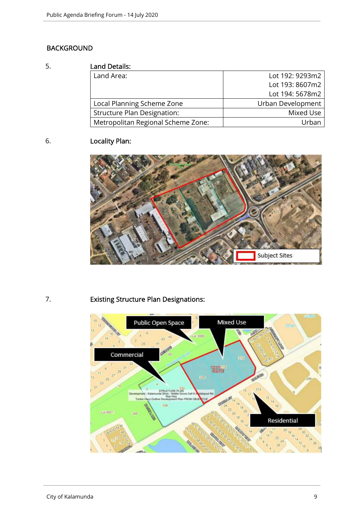### BACKGROUND

#### 5. Land Details:

| Lanu Detans.                       |                   |
|------------------------------------|-------------------|
| Land Area:                         | Lot 192: 9293m2   |
|                                    | Lot 193: 8607m2   |
|                                    | Lot 194: 5678m2   |
| Local Planning Scheme Zone         | Urban Development |
| <b>Structure Plan Designation:</b> | Mixed Use         |
| Metropolitan Regional Scheme Zone: | Urban             |

# 6. Locality Plan:



# 7. Existing Structure Plan Designations:

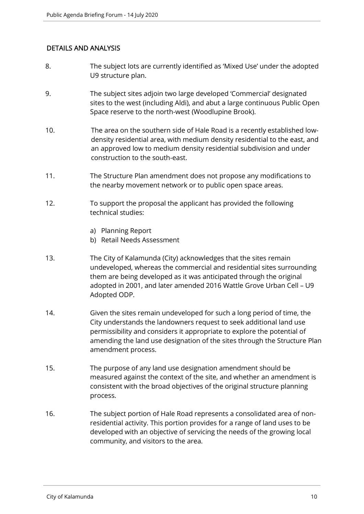#### DETAILS AND ANALYSIS

- 8. The subject lots are currently identified as 'Mixed Use' under the adopted U9 structure plan.
- 9. The subject sites adjoin two large developed 'Commercial' designated sites to the west (including Aldi), and abut a large continuous Public Open Space reserve to the north-west (Woodlupine Brook).
- 10. The area on the southern side of Hale Road is a recently established lowdensity residential area, with medium density residential to the east, and an approved low to medium density residential subdivision and under construction to the south-east.
- 11. The Structure Plan amendment does not propose any modifications to the nearby movement network or to public open space areas.
- 12. To support the proposal the applicant has provided the following technical studies:
	- a) Planning Report
	- b) Retail Needs Assessment
- 13. The City of Kalamunda (City) acknowledges that the sites remain undeveloped, whereas the commercial and residential sites surrounding them are being developed as it was anticipated through the original adopted in 2001, and later amended 2016 Wattle Grove Urban Cell – U9 Adopted ODP.
- 14. Given the sites remain undeveloped for such a long period of time, the City understands the landowners request to seek additional land use permissibility and considers it appropriate to explore the potential of amending the land use designation of the sites through the Structure Plan amendment process.
- 15. The purpose of any land use designation amendment should be measured against the context of the site, and whether an amendment is consistent with the broad objectives of the original structure planning process.
- 16. The subject portion of Hale Road represents a consolidated area of nonresidential activity. This portion provides for a range of land uses to be developed with an objective of servicing the needs of the growing local community, and visitors to the area.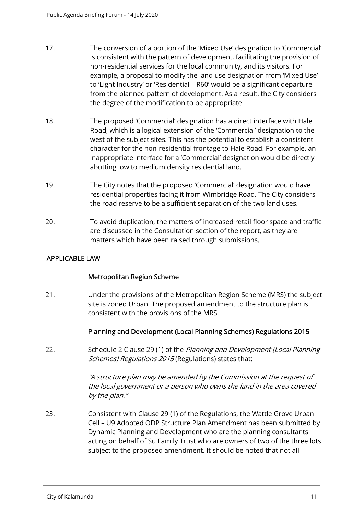- 17. The conversion of a portion of the 'Mixed Use' designation to 'Commercial' is consistent with the pattern of development, facilitating the provision of non-residential services for the local community, and its visitors. For example, a proposal to modify the land use designation from 'Mixed Use' to 'Light Industry' or 'Residential – R60' would be a significant departure from the planned pattern of development. As a result, the City considers the degree of the modification to be appropriate.
- 18. The proposed 'Commercial' designation has a direct interface with Hale Road, which is a logical extension of the 'Commercial' designation to the west of the subject sites. This has the potential to establish a consistent character for the non-residential frontage to Hale Road. For example, an inappropriate interface for a 'Commercial' designation would be directly abutting low to medium density residential land.
- 19. The City notes that the proposed 'Commercial' designation would have residential properties facing it from Wimbridge Road. The City considers the road reserve to be a sufficient separation of the two land uses.
- 20. To avoid duplication, the matters of increased retail floor space and traffic are discussed in the Consultation section of the report, as they are matters which have been raised through submissions.

#### APPLICABLE LAW

#### Metropolitan Region Scheme

21. Under the provisions of the Metropolitan Region Scheme (MRS) the subject site is zoned Urban. The proposed amendment to the structure plan is consistent with the provisions of the MRS.

#### Planning and Development (Local Planning Schemes) Regulations 2015

22. Schedule 2 Clause 29 (1) of the Planning and Development (Local Planning Schemes) Regulations 2015 (Regulations) states that:

> "A structure plan may be amended by the Commission at the request of the local government or a person who owns the land in the area covered by the plan."

23. Consistent with Clause 29 (1) of the Regulations, the Wattle Grove Urban Cell – U9 Adopted ODP Structure Plan Amendment has been submitted by Dynamic Planning and Development who are the planning consultants acting on behalf of Su Family Trust who are owners of two of the three lots subject to the proposed amendment. It should be noted that not all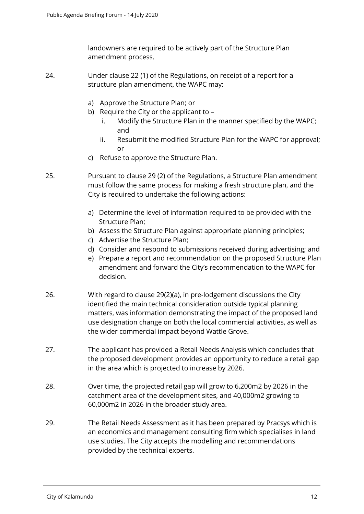landowners are required to be actively part of the Structure Plan amendment process.

- 24. Under clause 22 (1) of the Regulations, on receipt of a report for a structure plan amendment, the WAPC may:
	- a) Approve the Structure Plan; or
	- b) Require the City or the applicant to
		- i. Modify the Structure Plan in the manner specified by the WAPC; and
		- ii. Resubmit the modified Structure Plan for the WAPC for approval; or
	- c) Refuse to approve the Structure Plan.
- 25. Pursuant to clause 29 (2) of the Regulations, a Structure Plan amendment must follow the same process for making a fresh structure plan, and the City is required to undertake the following actions:
	- a) Determine the level of information required to be provided with the Structure Plan;
	- b) Assess the Structure Plan against appropriate planning principles;
	- c) Advertise the Structure Plan;
	- d) Consider and respond to submissions received during advertising; and
	- e) Prepare a report and recommendation on the proposed Structure Plan amendment and forward the City's recommendation to the WAPC for decision.
- 26. With regard to clause 29(2)(a), in pre-lodgement discussions the City identified the main technical consideration outside typical planning matters, was information demonstrating the impact of the proposed land use designation change on both the local commercial activities, as well as the wider commercial impact beyond Wattle Grove.
- 27. The applicant has provided a Retail Needs Analysis which concludes that the proposed development provides an opportunity to reduce a retail gap in the area which is projected to increase by 2026.
- 28. Over time, the projected retail gap will grow to 6,200m2 by 2026 in the catchment area of the development sites, and 40,000m2 growing to 60,000m2 in 2026 in the broader study area.
- 29. The Retail Needs Assessment as it has been prepared by Pracsys which is an economics and management consulting firm which specialises in land use studies. The City accepts the modelling and recommendations provided by the technical experts.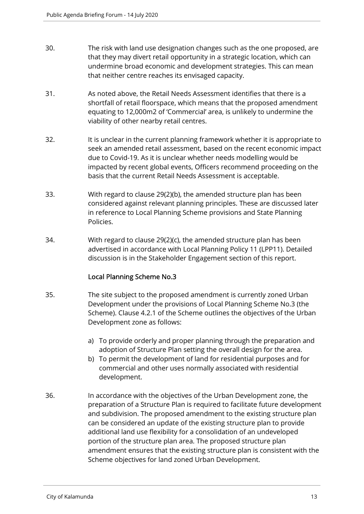- 30. The risk with land use designation changes such as the one proposed, are that they may divert retail opportunity in a strategic location, which can undermine broad economic and development strategies. This can mean that neither centre reaches its envisaged capacity.
- 31. As noted above, the Retail Needs Assessment identifies that there is a shortfall of retail floorspace, which means that the proposed amendment equating to 12,000m2 of 'Commercial' area, is unlikely to undermine the viability of other nearby retail centres.
- 32. It is unclear in the current planning framework whether it is appropriate to seek an amended retail assessment, based on the recent economic impact due to Covid-19. As it is unclear whether needs modelling would be impacted by recent global events, Officers recommend proceeding on the basis that the current Retail Needs Assessment is acceptable.
- 33. With regard to clause 29(2)(b), the amended structure plan has been considered against relevant planning principles. These are discussed later in reference to Local Planning Scheme provisions and State Planning Policies.
- 34. With regard to clause 29(2)(c), the amended structure plan has been advertised in accordance with Local Planning Policy 11 (LPP11). Detailed discussion is in the Stakeholder Engagement section of this report.

#### Local Planning Scheme No.3

- 35. The site subject to the proposed amendment is currently zoned Urban Development under the provisions of Local Planning Scheme No.3 (the Scheme). Clause 4.2.1 of the Scheme outlines the objectives of the Urban Development zone as follows:
	- a) To provide orderly and proper planning through the preparation and adoption of Structure Plan setting the overall design for the area.
	- b) To permit the development of land for residential purposes and for commercial and other uses normally associated with residential development.
- 36. In accordance with the objectives of the Urban Development zone, the preparation of a Structure Plan is required to facilitate future development and subdivision. The proposed amendment to the existing structure plan can be considered an update of the existing structure plan to provide additional land use flexibility for a consolidation of an undeveloped portion of the structure plan area. The proposed structure plan amendment ensures that the existing structure plan is consistent with the Scheme objectives for land zoned Urban Development.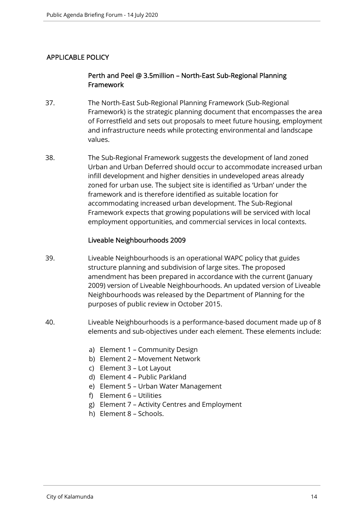#### APPLICABLE POLICY

#### Perth and Peel @ 3.5million – North-East Sub-Regional Planning Framework

- 37. The North-East Sub-Regional Planning Framework (Sub-Regional Framework) is the strategic planning document that encompasses the area of Forrestfield and sets out proposals to meet future housing, employment and infrastructure needs while protecting environmental and landscape values.
- 38. The Sub-Regional Framework suggests the development of land zoned Urban and Urban Deferred should occur to accommodate increased urban infill development and higher densities in undeveloped areas already zoned for urban use. The subject site is identified as 'Urban' under the framework and is therefore identified as suitable location for accommodating increased urban development. The Sub-Regional Framework expects that growing populations will be serviced with local employment opportunities, and commercial services in local contexts.

#### Liveable Neighbourhoods 2009

- 39. Liveable Neighbourhoods is an operational WAPC policy that guides structure planning and subdivision of large sites. The proposed amendment has been prepared in accordance with the current (January 2009) version of Liveable Neighbourhoods. An updated version of Liveable Neighbourhoods was released by the Department of Planning for the purposes of public review in October 2015.
- 40. Liveable Neighbourhoods is a performance-based document made up of 8 elements and sub-objectives under each element. These elements include:
	- a) Element 1 Community Design
	- b) Element 2 Movement Network
	- c) Element 3 Lot Layout
	- d) Element 4 Public Parkland
	- e) Element 5 Urban Water Management
	- f) Element 6 Utilities
	- g) Element 7 Activity Centres and Employment
	- h) Element 8 Schools.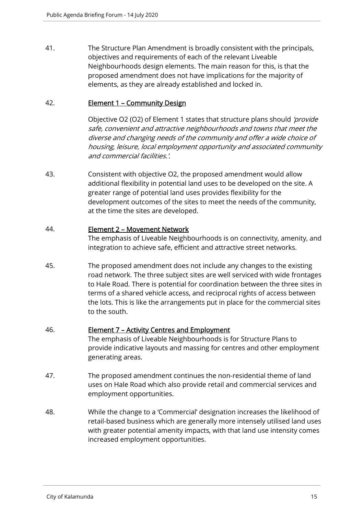41. The Structure Plan Amendment is broadly consistent with the principals, objectives and requirements of each of the relevant Liveable Neighbourhoods design elements. The main reason for this, is that the proposed amendment does not have implications for the majority of elements, as they are already established and locked in.

#### 42. Element 1 – Community Design

Objective O2 (O2) of Element 1 states that structure plans should 'provide safe, convenient and attractive neighbourhoods and towns that meet the diverse and changing needs of the community and offer a wide choice of housing, leisure, local employment opportunity and associated community and commercial facilities.'.

43. Consistent with objective O2, the proposed amendment would allow additional flexibility in potential land uses to be developed on the site. A greater range of potential land uses provides flexibility for the development outcomes of the sites to meet the needs of the community, at the time the sites are developed.

#### 44. Element 2 – Movement Network

The emphasis of Liveable Neighbourhoods is on connectivity, amenity, and integration to achieve safe, efficient and attractive street networks.

45. The proposed amendment does not include any changes to the existing road network. The three subject sites are well serviced with wide frontages to Hale Road. There is potential for coordination between the three sites in terms of a shared vehicle access, and reciprocal rights of access between the lots. This is like the arrangements put in place for the commercial sites to the south.

#### 46. Element 7 – Activity Centres and Employment

The emphasis of Liveable Neighbourhoods is for Structure Plans to provide indicative layouts and massing for centres and other employment generating areas.

- 47. The proposed amendment continues the non-residential theme of land uses on Hale Road which also provide retail and commercial services and employment opportunities.
- 48. While the change to a 'Commercial' designation increases the likelihood of retail-based business which are generally more intensely utilised land uses with greater potential amenity impacts, with that land use intensity comes increased employment opportunities.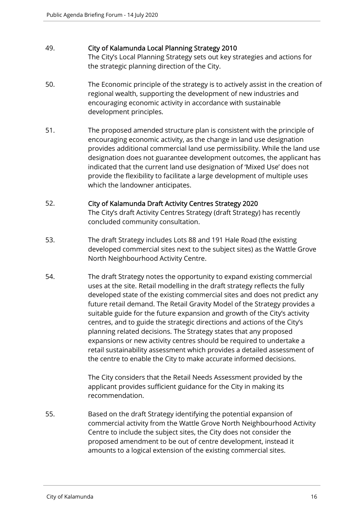#### 49. City of Kalamunda Local Planning Strategy 2010

The City's Local Planning Strategy sets out key strategies and actions for the strategic planning direction of the City.

- 50. The Economic principle of the strategy is to actively assist in the creation of regional wealth, supporting the development of new industries and encouraging economic activity in accordance with sustainable development principles.
- 51. The proposed amended structure plan is consistent with the principle of encouraging economic activity, as the change in land use designation provides additional commercial land use permissibility. While the land use designation does not guarantee development outcomes, the applicant has indicated that the current land use designation of 'Mixed Use' does not provide the flexibility to facilitate a large development of multiple uses which the landowner anticipates.

#### 52. City of Kalamunda Draft Activity Centres Strategy 2020

The City's draft Activity Centres Strategy (draft Strategy) has recently concluded community consultation.

- 53. The draft Strategy includes Lots 88 and 191 Hale Road (the existing developed commercial sites next to the subject sites) as the Wattle Grove North Neighbourhood Activity Centre.
- 54. The draft Strategy notes the opportunity to expand existing commercial uses at the site. Retail modelling in the draft strategy reflects the fully developed state of the existing commercial sites and does not predict any future retail demand. The Retail Gravity Model of the Strategy provides a suitable guide for the future expansion and growth of the City's activity centres, and to guide the strategic directions and actions of the City's planning related decisions. The Strategy states that any proposed expansions or new activity centres should be required to undertake a retail sustainability assessment which provides a detailed assessment of the centre to enable the City to make accurate informed decisions.

The City considers that the Retail Needs Assessment provided by the applicant provides sufficient guidance for the City in making its recommendation.

55. Based on the draft Strategy identifying the potential expansion of commercial activity from the Wattle Grove North Neighbourhood Activity Centre to include the subject sites, the City does not consider the proposed amendment to be out of centre development, instead it amounts to a logical extension of the existing commercial sites.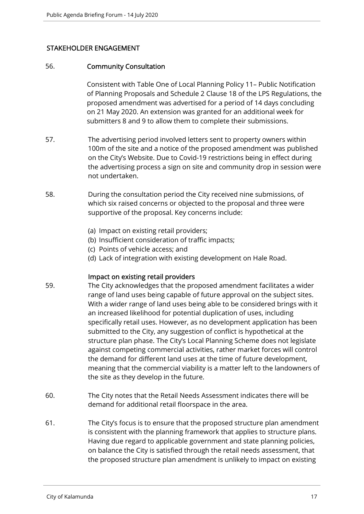#### STAKEHOLDER ENGAGEMENT

#### 56. Community Consultation

Consistent with Table One of Local Planning Policy 11– Public Notification of Planning Proposals and Schedule 2 Clause 18 of the LPS Regulations, the proposed amendment was advertised for a period of 14 days concluding on 21 May 2020. An extension was granted for an additional week for submitters 8 and 9 to allow them to complete their submissions.

- 57. The advertising period involved letters sent to property owners within 100m of the site and a notice of the proposed amendment was published on the City's Website. Due to Covid-19 restrictions being in effect during the advertising process a sign on site and community drop in session were not undertaken.
- 58. During the consultation period the City received nine submissions, of which six raised concerns or objected to the proposal and three were supportive of the proposal. Key concerns include:
	- (a) Impact on existing retail providers;
	- (b) Insufficient consideration of traffic impacts;
	- (c) Points of vehicle access; and
	- (d) Lack of integration with existing development on Hale Road.

#### Impact on existing retail providers

- 59. The City acknowledges that the proposed amendment facilitates a wider range of land uses being capable of future approval on the subject sites. With a wider range of land uses being able to be considered brings with it an increased likelihood for potential duplication of uses, including specifically retail uses. However, as no development application has been submitted to the City, any suggestion of conflict is hypothetical at the structure plan phase. The City's Local Planning Scheme does not legislate against competing commercial activities, rather market forces will control the demand for different land uses at the time of future development, meaning that the commercial viability is a matter left to the landowners of the site as they develop in the future.
- 60. The City notes that the Retail Needs Assessment indicates there will be demand for additional retail floorspace in the area.
- 61. The City's focus is to ensure that the proposed structure plan amendment is consistent with the planning framework that applies to structure plans. Having due regard to applicable government and state planning policies, on balance the City is satisfied through the retail needs assessment, that the proposed structure plan amendment is unlikely to impact on existing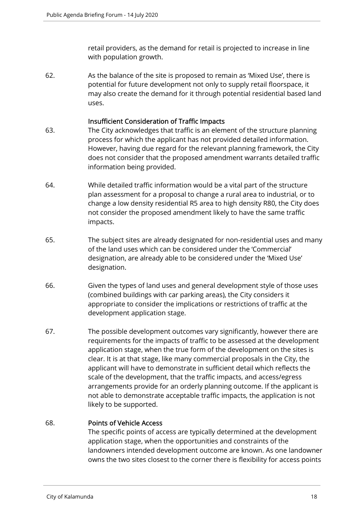retail providers, as the demand for retail is projected to increase in line with population growth.

62. As the balance of the site is proposed to remain as 'Mixed Use', there is potential for future development not only to supply retail floorspace, it may also create the demand for it through potential residential based land uses.

#### Insufficient Consideration of Traffic Impacts

- 63. The City acknowledges that traffic is an element of the structure planning process for which the applicant has not provided detailed information. However, having due regard for the relevant planning framework, the City does not consider that the proposed amendment warrants detailed traffic information being provided.
- 64. While detailed traffic information would be a vital part of the structure plan assessment for a proposal to change a rural area to industrial, or to change a low density residential R5 area to high density R80, the City does not consider the proposed amendment likely to have the same traffic impacts.
- 65. The subject sites are already designated for non-residential uses and many of the land uses which can be considered under the 'Commercial' designation, are already able to be considered under the 'Mixed Use' designation.
- 66. Given the types of land uses and general development style of those uses (combined buildings with car parking areas), the City considers it appropriate to consider the implications or restrictions of traffic at the development application stage.
- 67. The possible development outcomes vary significantly, however there are requirements for the impacts of traffic to be assessed at the development application stage, when the true form of the development on the sites is clear. It is at that stage, like many commercial proposals in the City, the applicant will have to demonstrate in sufficient detail which reflects the scale of the development, that the traffic impacts, and access/egress arrangements provide for an orderly planning outcome. If the applicant is not able to demonstrate acceptable traffic impacts, the application is not likely to be supported.

#### 68. Points of Vehicle Access

The specific points of access are typically determined at the development application stage, when the opportunities and constraints of the landowners intended development outcome are known. As one landowner owns the two sites closest to the corner there is flexibility for access points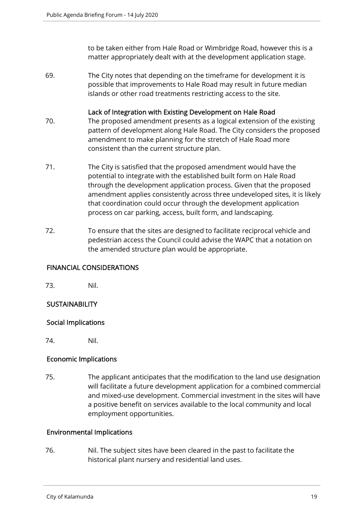to be taken either from Hale Road or Wimbridge Road, however this is a matter appropriately dealt with at the development application stage.

69. The City notes that depending on the timeframe for development it is possible that improvements to Hale Road may result in future median islands or other road treatments restricting access to the site.

#### Lack of Integration with Existing Development on Hale Road

- 70. The proposed amendment presents as a logical extension of the existing pattern of development along Hale Road. The City considers the proposed amendment to make planning for the stretch of Hale Road more consistent than the current structure plan.
- 71. The City is satisfied that the proposed amendment would have the potential to integrate with the established built form on Hale Road through the development application process. Given that the proposed amendment applies consistently across three undeveloped sites, it is likely that coordination could occur through the development application process on car parking, access, built form, and landscaping.
- 72. To ensure that the sites are designed to facilitate reciprocal vehicle and pedestrian access the Council could advise the WAPC that a notation on the amended structure plan would be appropriate.

#### FINANCIAL CONSIDERATIONS

73. Nil.

#### **SUSTAINABILITY**

#### Social Implications

74. Nil.

#### Economic Implications

75. The applicant anticipates that the modification to the land use designation will facilitate a future development application for a combined commercial and mixed-use development. Commercial investment in the sites will have a positive benefit on services available to the local community and local employment opportunities.

#### Environmental Implications

76. Nil. The subject sites have been cleared in the past to facilitate the historical plant nursery and residential land uses.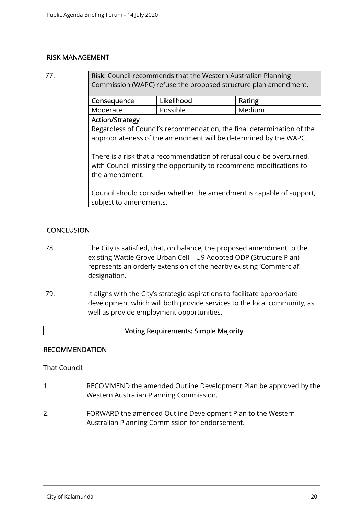#### RISK MANAGEMENT

77. Risk: Council recommends that the Western Australian Planning Commission (WAPC) refuse the proposed structure plan amendment.

| Consequence            | Likelihood | Rating |  |
|------------------------|------------|--------|--|
| Moderate               | Possible   | Medium |  |
| <b>Action/Strategy</b> |            |        |  |

Regardless of Council's recommendation, the final determination of the appropriateness of the amendment will be determined by the WAPC.

There is a risk that a recommendation of refusal could be overturned, with Council missing the opportunity to recommend modifications to the amendment.

Council should consider whether the amendment is capable of support, subject to amendments.

#### **CONCLUSION**

- 78. The City is satisfied, that, on balance, the proposed amendment to the existing Wattle Grove Urban Cell – U9 Adopted ODP (Structure Plan) represents an orderly extension of the nearby existing 'Commercial' designation.
- 79. It aligns with the City's strategic aspirations to facilitate appropriate development which will both provide services to the local community, as well as provide employment opportunities.

#### Voting Requirements: Simple Majority

#### RECOMMENDATION

That Council:

- 1. RECOMMEND the amended Outline Development Plan be approved by the Western Australian Planning Commission.
- 2. FORWARD the amended Outline Development Plan to the Western Australian Planning Commission for endorsement.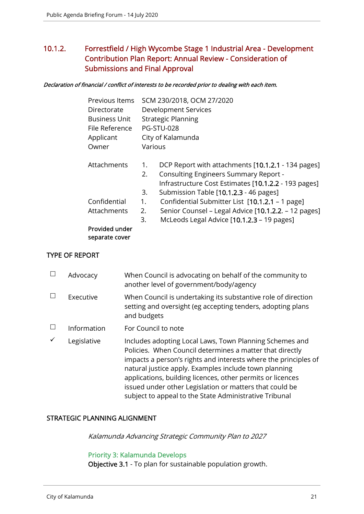# 10.1.2. Forrestfield / High Wycombe Stage 1 Industrial Area - Development Contribution Plan Report: Annual Review - Consideration of Submissions and Final Approval

#### Declaration of financial / conflict of interests to be recorded prior to dealing with each item.

| Previous Items       |         | SCM 230/2018, OCM 27/2020                            |
|----------------------|---------|------------------------------------------------------|
| Directorate          |         | Development Services                                 |
| <b>Business Unit</b> |         | <b>Strategic Planning</b>                            |
| File Reference       |         | <b>PG-STU-028</b>                                    |
| Applicant            |         | City of Kalamunda                                    |
| Owner                | Various |                                                      |
| Attachments          | 1.      | DCP Report with attachments [10.1.2.1 - 134 pages]   |
|                      | 2.      | Consulting Engineers Summary Report -                |
|                      |         | Infrastructure Cost Estimates [10.1.2.2 - 193 pages] |
|                      | 3.      | Submission Table [10.1.2.3 - 46 pages]               |
| Confidential         | 1.      | Confidential Submitter List [10.1.2.1 - 1 page]      |
| Attachments          | 2.      | Senior Counsel – Legal Advice [10.1.2.2. – 12 pages] |
|                      | 3.      | McLeods Legal Advice [10.1.2.3 - 19 pages]           |
| Provided under       |         |                                                      |
| separate cover       |         |                                                      |
|                      |         |                                                      |

#### TYPE OF REPORT

| Advocacy    | When Council is advocating on behalf of the community to<br>another level of government/body/agency                                                                                                                                                                                                                                                                                                                                |
|-------------|------------------------------------------------------------------------------------------------------------------------------------------------------------------------------------------------------------------------------------------------------------------------------------------------------------------------------------------------------------------------------------------------------------------------------------|
| Executive   | When Council is undertaking its substantive role of direction<br>setting and oversight (eg accepting tenders, adopting plans<br>and budgets                                                                                                                                                                                                                                                                                        |
| Information | For Council to note                                                                                                                                                                                                                                                                                                                                                                                                                |
| Legislative | Includes adopting Local Laws, Town Planning Schemes and<br>Policies. When Council determines a matter that directly<br>impacts a person's rights and interests where the principles of<br>natural justice apply. Examples include town planning<br>applications, building licences, other permits or licences<br>issued under other Legislation or matters that could be<br>subject to appeal to the State Administrative Tribunal |

#### STRATEGIC PLANNING ALIGNMENT

Kalamunda Advancing Strategic Community Plan to 2027

#### Priority 3: Kalamunda Develops

Objective 3.1 - To plan for sustainable population growth.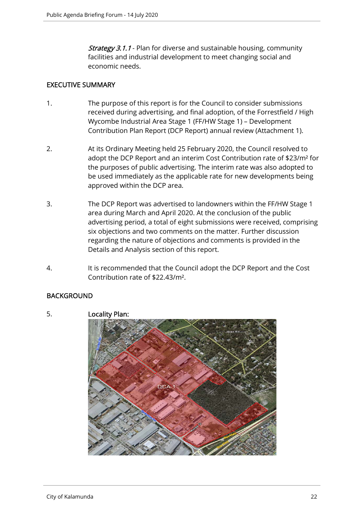**Strategy 3.1.1** - Plan for diverse and sustainable housing, community facilities and industrial development to meet changing social and economic needs.

#### EXECUTIVE SUMMARY

- 1. The purpose of this report is for the Council to consider submissions received during advertising, and final adoption, of the Forrestfield / High Wycombe Industrial Area Stage 1 (FF/HW Stage 1) – Development Contribution Plan Report (DCP Report) annual review (Attachment 1).
- 2. At its Ordinary Meeting held 25 February 2020, the Council resolved to adopt the DCP Report and an interim Cost Contribution rate of \$23/m² for the purposes of public advertising. The interim rate was also adopted to be used immediately as the applicable rate for new developments being approved within the DCP area.
- 3. The DCP Report was advertised to landowners within the FF/HW Stage 1 area during March and April 2020. At the conclusion of the public advertising period, a total of eight submissions were received, comprising six objections and two comments on the matter. Further discussion regarding the nature of objections and comments is provided in the Details and Analysis section of this report.
- 4. It is recommended that the Council adopt the DCP Report and the Cost Contribution rate of \$22.43/m².

#### **BACKGROUND**



5. Locality Plan: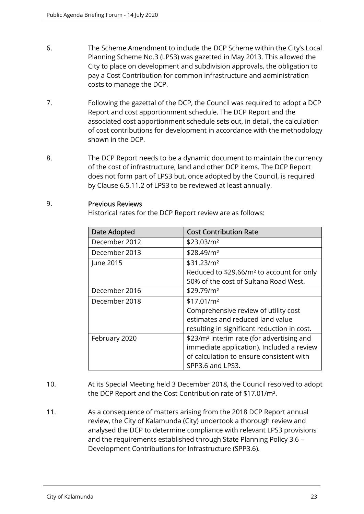- 6. The Scheme Amendment to include the DCP Scheme within the City's Local Planning Scheme No.3 (LPS3) was gazetted in May 2013. This allowed the City to place on development and subdivision approvals, the obligation to pay a Cost Contribution for common infrastructure and administration costs to manage the DCP.
- 7. Following the gazettal of the DCP, the Council was required to adopt a DCP Report and cost apportionment schedule. The DCP Report and the associated cost apportionment schedule sets out, in detail, the calculation of cost contributions for development in accordance with the methodology shown in the DCP.
- 8. The DCP Report needs to be a dynamic document to maintain the currency of the cost of infrastructure, land and other DCP items. The DCP Report does not form part of LPS3 but, once adopted by the Council, is required by Clause 6.5.11.2 of LPS3 to be reviewed at least annually.

#### 9. Previous Reviews

Historical rates for the DCP Report review are as follows:

| <b>Date Adopted</b> | <b>Cost Contribution Rate</b>                         |  |
|---------------------|-------------------------------------------------------|--|
| December 2012       | \$23.03/m <sup>2</sup>                                |  |
| December 2013       | \$28.49/m <sup>2</sup>                                |  |
| June 2015           | \$31.23/m <sup>2</sup>                                |  |
|                     | Reduced to \$29.66/m <sup>2</sup> to account for only |  |
|                     | 50% of the cost of Sultana Road West.                 |  |
| December 2016       | \$29.79/m <sup>2</sup>                                |  |
| December 2018       | \$17.01/m <sup>2</sup>                                |  |
|                     | Comprehensive review of utility cost                  |  |
|                     | estimates and reduced land value                      |  |
|                     | resulting in significant reduction in cost.           |  |
| February 2020       | \$23/m <sup>2</sup> interim rate (for advertising and |  |
|                     | immediate application). Included a review             |  |
|                     | of calculation to ensure consistent with              |  |
|                     | SPP3.6 and LPS3.                                      |  |

- 10. At its Special Meeting held 3 December 2018, the Council resolved to adopt the DCP Report and the Cost Contribution rate of \$17.01/m².
- 11. As a consequence of matters arising from the 2018 DCP Report annual review, the City of Kalamunda (City) undertook a thorough review and analysed the DCP to determine compliance with relevant LPS3 provisions and the requirements established through State Planning Policy 3.6 – Development Contributions for Infrastructure (SPP3.6).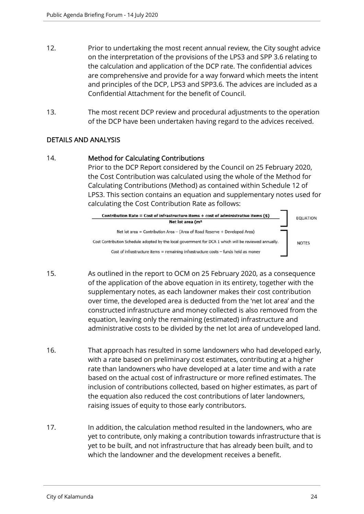- 12. Prior to undertaking the most recent annual review, the City sought advice on the interpretation of the provisions of the LPS3 and SPP 3.6 relating to the calculation and application of the DCP rate. The confidential advices are comprehensive and provide for a way forward which meets the intent and principles of the DCP, LPS3 and SPP3.6. The advices are included as a Confidential Attachment for the benefit of Council.
- 13. The most recent DCP review and procedural adjustments to the operation of the DCP have been undertaken having regard to the advices received.

#### DETAILS AND ANALYSIS

#### 14. Method for Calculating Contributions

Prior to the DCP Report considered by the Council on 25 February 2020, the Cost Contribution was calculated using the whole of the Method for Calculating Contributions (Method) as contained within Schedule 12 of LPS3. This section contains an equation and supplementary notes used for calculating the Cost Contribution Rate as follows:



- 15. As outlined in the report to OCM on 25 February 2020, as a consequence of the application of the above equation in its entirety, together with the supplementary notes, as each landowner makes their cost contribution over time, the developed area is deducted from the 'net lot area' and the constructed infrastructure and money collected is also removed from the equation, leaving only the remaining (estimated) infrastructure and administrative costs to be divided by the net lot area of undeveloped land.
- 16. That approach has resulted in some landowners who had developed early, with a rate based on preliminary cost estimates, contributing at a higher rate than landowners who have developed at a later time and with a rate based on the actual cost of infrastructure or more refined estimates. The inclusion of contributions collected, based on higher estimates, as part of the equation also reduced the cost contributions of later landowners, raising issues of equity to those early contributors.
- 17. In addition, the calculation method resulted in the landowners, who are yet to contribute, only making a contribution towards infrastructure that is yet to be built, and not infrastructure that has already been built, and to which the landowner and the development receives a benefit.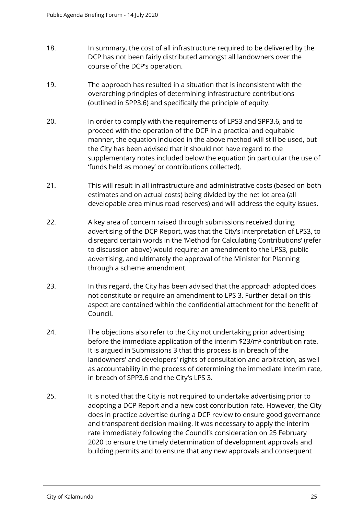- 18. In summary, the cost of all infrastructure required to be delivered by the DCP has not been fairly distributed amongst all landowners over the course of the DCP's operation.
- 19. The approach has resulted in a situation that is inconsistent with the overarching principles of determining infrastructure contributions (outlined in SPP3.6) and specifically the principle of equity.
- 20. In order to comply with the requirements of LPS3 and SPP3.6, and to proceed with the operation of the DCP in a practical and equitable manner, the equation included in the above method will still be used, but the City has been advised that it should not have regard to the supplementary notes included below the equation (in particular the use of 'funds held as money' or contributions collected).
- 21. This will result in all infrastructure and administrative costs (based on both estimates and on actual costs) being divided by the net lot area (all developable area minus road reserves) and will address the equity issues.
- 22. A key area of concern raised through submissions received during advertising of the DCP Report, was that the City's interpretation of LPS3, to disregard certain words in the 'Method for Calculating Contributions' (refer to discussion above) would require; an amendment to the LPS3, public advertising, and ultimately the approval of the Minister for Planning through a scheme amendment.
- 23. In this regard, the City has been advised that the approach adopted does not constitute or require an amendment to LPS 3. Further detail on this aspect are contained within the confidential attachment for the benefit of Council.
- 24. The objections also refer to the City not undertaking prior advertising before the immediate application of the interim \$23/m² contribution rate. It is argued in Submissions 3 that this process is in breach of the landowners' and developers' rights of consultation and arbitration, as well as accountability in the process of determining the immediate interim rate, in breach of SPP3.6 and the City's LPS 3.
- 25. It is noted that the City is not required to undertake advertising prior to adopting a DCP Report and a new cost contribution rate. However, the City does in practice advertise during a DCP review to ensure good governance and transparent decision making. It was necessary to apply the interim rate immediately following the Council's consideration on 25 February 2020 to ensure the timely determination of development approvals and building permits and to ensure that any new approvals and consequent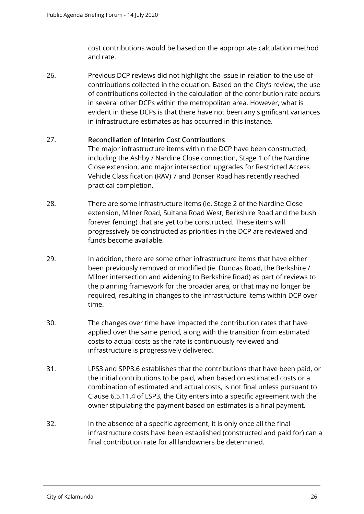cost contributions would be based on the appropriate calculation method and rate.

26. Previous DCP reviews did not highlight the issue in relation to the use of contributions collected in the equation. Based on the City's review, the use of contributions collected in the calculation of the contribution rate occurs in several other DCPs within the metropolitan area. However, what is evident in these DCPs is that there have not been any significant variances in infrastructure estimates as has occurred in this instance.

#### 27. Reconciliation of Interim Cost Contributions

The major infrastructure items within the DCP have been constructed, including the Ashby / Nardine Close connection, Stage 1 of the Nardine Close extension, and major intersection upgrades for Restricted Access Vehicle Classification (RAV) 7 and Bonser Road has recently reached practical completion.

- 28. There are some infrastructure items (ie. Stage 2 of the Nardine Close extension, Milner Road, Sultana Road West, Berkshire Road and the bush forever fencing) that are yet to be constructed. These items will progressively be constructed as priorities in the DCP are reviewed and funds become available.
- 29. In addition, there are some other infrastructure items that have either been previously removed or modified (ie. Dundas Road, the Berkshire / Milner intersection and widening to Berkshire Road) as part of reviews to the planning framework for the broader area, or that may no longer be required, resulting in changes to the infrastructure items within DCP over time.
- 30. The changes over time have impacted the contribution rates that have applied over the same period, along with the transition from estimated costs to actual costs as the rate is continuously reviewed and infrastructure is progressively delivered.
- 31. LPS3 and SPP3.6 establishes that the contributions that have been paid, or the initial contributions to be paid, when based on estimated costs or a combination of estimated and actual costs, is not final unless pursuant to Clause 6.5.11.4 of LSP3, the City enters into a specific agreement with the owner stipulating the payment based on estimates is a final payment.
- 32. In the absence of a specific agreement, it is only once all the final infrastructure costs have been established (constructed and paid for) can a final contribution rate for all landowners be determined.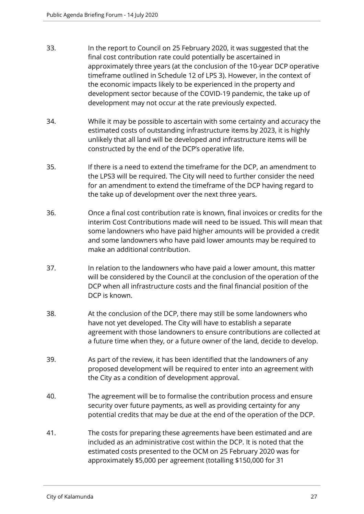- 33. In the report to Council on 25 February 2020, it was suggested that the final cost contribution rate could potentially be ascertained in approximately three years (at the conclusion of the 10-year DCP operative timeframe outlined in Schedule 12 of LPS 3). However, in the context of the economic impacts likely to be experienced in the property and development sector because of the COVID-19 pandemic, the take up of development may not occur at the rate previously expected.
- 34. While it may be possible to ascertain with some certainty and accuracy the estimated costs of outstanding infrastructure items by 2023, it is highly unlikely that all land will be developed and infrastructure items will be constructed by the end of the DCP's operative life.
- 35. If there is a need to extend the timeframe for the DCP, an amendment to the LPS3 will be required. The City will need to further consider the need for an amendment to extend the timeframe of the DCP having regard to the take up of development over the next three years.
- 36. Once a final cost contribution rate is known, final invoices or credits for the interim Cost Contributions made will need to be issued. This will mean that some landowners who have paid higher amounts will be provided a credit and some landowners who have paid lower amounts may be required to make an additional contribution.
- 37. In relation to the landowners who have paid a lower amount, this matter will be considered by the Council at the conclusion of the operation of the DCP when all infrastructure costs and the final financial position of the DCP is known.
- 38. At the conclusion of the DCP, there may still be some landowners who have not yet developed. The City will have to establish a separate agreement with those landowners to ensure contributions are collected at a future time when they, or a future owner of the land, decide to develop.
- 39. As part of the review, it has been identified that the landowners of any proposed development will be required to enter into an agreement with the City as a condition of development approval.
- 40. The agreement will be to formalise the contribution process and ensure security over future payments, as well as providing certainty for any potential credits that may be due at the end of the operation of the DCP.
- 41. The costs for preparing these agreements have been estimated and are included as an administrative cost within the DCP. It is noted that the estimated costs presented to the OCM on 25 February 2020 was for approximately \$5,000 per agreement (totalling \$150,000 for 31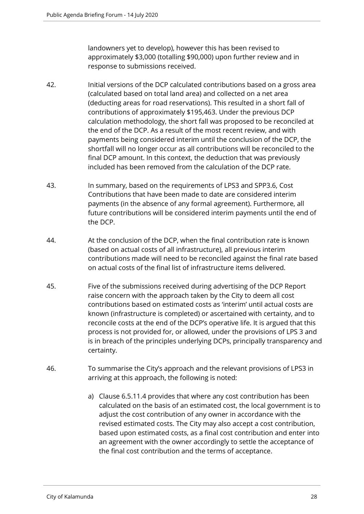landowners yet to develop), however this has been revised to approximately \$3,000 (totalling \$90,000) upon further review and in response to submissions received.

- 42. Initial versions of the DCP calculated contributions based on a gross area (calculated based on total land area) and collected on a net area (deducting areas for road reservations). This resulted in a short fall of contributions of approximately \$195,463. Under the previous DCP calculation methodology, the short fall was proposed to be reconciled at the end of the DCP. As a result of the most recent review, and with payments being considered interim until the conclusion of the DCP, the shortfall will no longer occur as all contributions will be reconciled to the final DCP amount. In this context, the deduction that was previously included has been removed from the calculation of the DCP rate.
- 43. In summary, based on the requirements of LPS3 and SPP3.6, Cost Contributions that have been made to date are considered interim payments (in the absence of any formal agreement). Furthermore, all future contributions will be considered interim payments until the end of the DCP.
- 44. At the conclusion of the DCP, when the final contribution rate is known (based on actual costs of all infrastructure), all previous interim contributions made will need to be reconciled against the final rate based on actual costs of the final list of infrastructure items delivered.
- 45. Five of the submissions received during advertising of the DCP Report raise concern with the approach taken by the City to deem all cost contributions based on estimated costs as 'interim' until actual costs are known (infrastructure is completed) or ascertained with certainty, and to reconcile costs at the end of the DCP's operative life. It is argued that this process is not provided for, or allowed, under the provisions of LPS 3 and is in breach of the principles underlying DCPs, principally transparency and certainty.
- 46. To summarise the City's approach and the relevant provisions of LPS3 in arriving at this approach, the following is noted:
	- a) Clause 6.5.11.4 provides that where any cost contribution has been calculated on the basis of an estimated cost, the local government is to adjust the cost contribution of any owner in accordance with the revised estimated costs. The City may also accept a cost contribution, based upon estimated costs, as a final cost contribution and enter into an agreement with the owner accordingly to settle the acceptance of the final cost contribution and the terms of acceptance.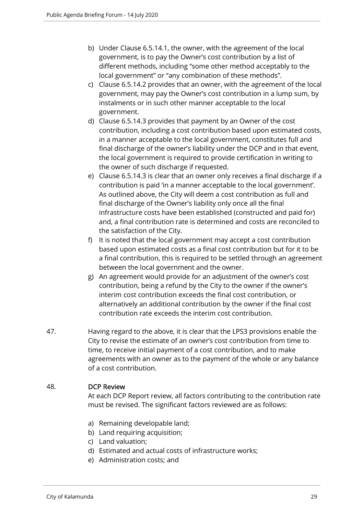- b) Under Clause 6.5.14.1, the owner, with the agreement of the local government, is to pay the Owner's cost contribution by a list of different methods, including "some other method acceptably to the local government" or "any combination of these methods".
- c) Clause 6.5.14.2 provides that an owner, with the agreement of the local government, may pay the Owner's cost contribution in a lump sum, by instalments or in such other manner acceptable to the local government.
- d) Clause 6.5.14.3 provides that payment by an Owner of the cost contribution, including a cost contribution based upon estimated costs, in a manner acceptable to the local government, constitutes full and final discharge of the owner's liability under the DCP and in that event, the local government is required to provide certification in writing to the owner of such discharge if requested.
- e) Clause 6.5.14.3 is clear that an owner only receives a final discharge if a contribution is paid 'in a manner acceptable to the local government'. As outlined above, the City will deem a cost contribution as full and final discharge of the Owner's liability only once all the final infrastructure costs have been established (constructed and paid for) and, a final contribution rate is determined and costs are reconciled to the satisfaction of the City.
- f) It is noted that the local government may accept a cost contribution based upon estimated costs as a final cost contribution but for it to be a final contribution, this is required to be settled through an agreement between the local government and the owner.
- g) An agreement would provide for an adjustment of the owner's cost contribution, being a refund by the City to the owner if the owner's interim cost contribution exceeds the final cost contribution, or alternatively an additional contribution by the owner if the final cost contribution rate exceeds the interim cost contribution.
- 47. Having regard to the above, it is clear that the LPS3 provisions enable the City to revise the estimate of an owner's cost contribution from time to time, to receive initial payment of a cost contribution, and to make agreements with an owner as to the payment of the whole or any balance of a cost contribution.

#### 48. DCP Review

At each DCP Report review, all factors contributing to the contribution rate must be revised. The significant factors reviewed are as follows:

- a) Remaining developable land;
- b) Land requiring acquisition;
- c) Land valuation;
- d) Estimated and actual costs of infrastructure works;
- e) Administration costs; and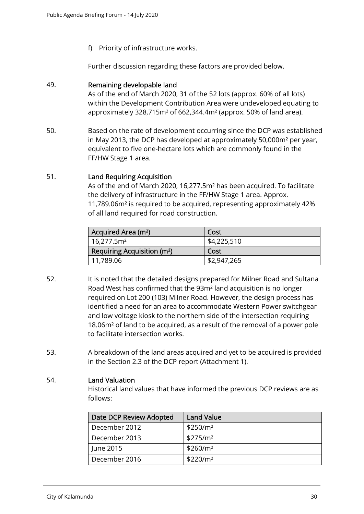f) Priority of infrastructure works.

Further discussion regarding these factors are provided below.

#### 49. Remaining developable land

As of the end of March 2020, 31 of the 52 lots (approx. 60% of all lots) within the Development Contribution Area were undeveloped equating to approximately 328,715m² of 662,344.4m² (approx. 50% of land area).

50. Based on the rate of development occurring since the DCP was established in May 2013, the DCP has developed at approximately 50,000m² per year, equivalent to five one-hectare lots which are commonly found in the FF/HW Stage 1 area.

#### 51. Land Requiring Acquisition

As of the end of March 2020, 16,277.5m² has been acquired. To facilitate the delivery of infrastructure in the FF/HW Stage 1 area. Approx. 11,789.06m² is required to be acquired, representing approximately 42% of all land required for road construction.

| Acquired Area (m <sup>2</sup> )         | Cost        |
|-----------------------------------------|-------------|
| 16,277.5m <sup>2</sup>                  | \$4,225,510 |
| Requiring Acquisition (m <sup>2</sup> ) | Cost        |
| 11,789.06                               | \$2,947,265 |

- 52. It is noted that the detailed designs prepared for Milner Road and Sultana Road West has confirmed that the 93m² land acquisition is no longer required on Lot 200 (103) Milner Road. However, the design process has identified a need for an area to accommodate Western Power switchgear and low voltage kiosk to the northern side of the intersection requiring 18.06m² of land to be acquired, as a result of the removal of a power pole to facilitate intersection works.
- 53. A breakdown of the land areas acquired and yet to be acquired is provided in the Section 2.3 of the DCP report (Attachment 1).

#### 54. Land Valuation

Historical land values that have informed the previous DCP reviews are as follows:

| Date DCP Review Adopted | <b>Land Value</b>    |
|-------------------------|----------------------|
| December 2012           | \$250/m <sup>2</sup> |
| December 2013           | \$275/m <sup>2</sup> |
| June 2015               | \$260/m <sup>2</sup> |
| December 2016           | \$220/m <sup>2</sup> |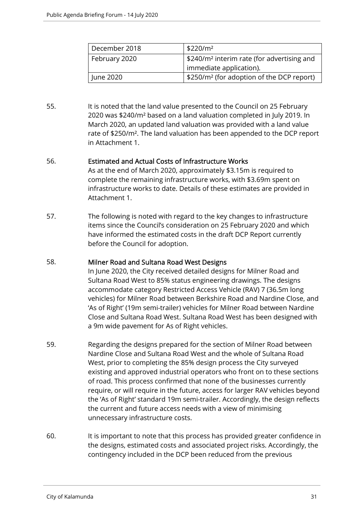| December 2018 | \$220/m <sup>2</sup>                                   |
|---------------|--------------------------------------------------------|
| February 2020 | \$240/m <sup>2</sup> interim rate (for advertising and |
|               | immediate application).                                |
| June 2020     | \$250/m <sup>2</sup> (for adoption of the DCP report)  |

55. It is noted that the land value presented to the Council on 25 February 2020 was \$240/m² based on a land valuation completed in July 2019. In March 2020, an updated land valuation was provided with a land value rate of \$250/m². The land valuation has been appended to the DCP report in Attachment 1.

#### 56. Estimated and Actual Costs of Infrastructure Works

As at the end of March 2020, approximately \$3.15m is required to complete the remaining infrastructure works, with \$3.69m spent on infrastructure works to date. Details of these estimates are provided in Attachment 1.

57. The following is noted with regard to the key changes to infrastructure items since the Council's consideration on 25 February 2020 and which have informed the estimated costs in the draft DCP Report currently before the Council for adoption.

#### 58. Milner Road and Sultana Road West Designs

In June 2020, the City received detailed designs for Milner Road and Sultana Road West to 85% status engineering drawings. The designs accommodate category Restricted Access Vehicle (RAV) 7 (36.5m long vehicles) for Milner Road between Berkshire Road and Nardine Close, and 'As of Right' (19m semi-trailer) vehicles for Milner Road between Nardine Close and Sultana Road West. Sultana Road West has been designed with a 9m wide pavement for As of Right vehicles.

- 59. Regarding the designs prepared for the section of Milner Road between Nardine Close and Sultana Road West and the whole of Sultana Road West, prior to completing the 85% design process the City surveyed existing and approved industrial operators who front on to these sections of road. This process confirmed that none of the businesses currently require, or will require in the future, access for larger RAV vehicles beyond the 'As of Right' standard 19m semi-trailer. Accordingly, the design reflects the current and future access needs with a view of minimising unnecessary infrastructure costs.
- 60. It is important to note that this process has provided greater confidence in the designs, estimated costs and associated project risks. Accordingly, the contingency included in the DCP been reduced from the previous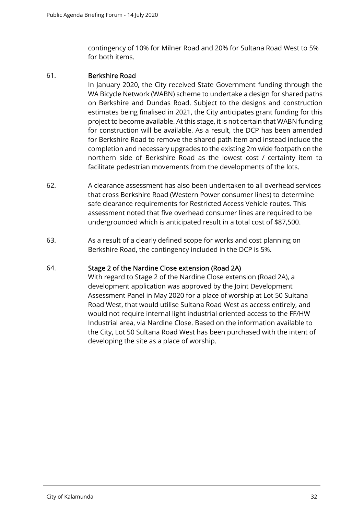contingency of 10% for Milner Road and 20% for Sultana Road West to 5% for both items.

#### 61. Berkshire Road

In January 2020, the City received State Government funding through the WA Bicycle Network (WABN) scheme to undertake a design for shared paths on Berkshire and Dundas Road. Subject to the designs and construction estimates being finalised in 2021, the City anticipates grant funding for this project to become available. At this stage, it is not certain that WABN funding for construction will be available. As a result, the DCP has been amended for Berkshire Road to remove the shared path item and instead include the completion and necessary upgrades to the existing 2m wide footpath on the northern side of Berkshire Road as the lowest cost / certainty item to facilitate pedestrian movements from the developments of the lots.

- 62. A clearance assessment has also been undertaken to all overhead services that cross Berkshire Road (Western Power consumer lines) to determine safe clearance requirements for Restricted Access Vehicle routes. This assessment noted that five overhead consumer lines are required to be undergrounded which is anticipated result in a total cost of \$87,500.
- 63. As a result of a clearly defined scope for works and cost planning on Berkshire Road, the contingency included in the DCP is 5%.

#### 64. Stage 2 of the Nardine Close extension (Road 2A)

With regard to Stage 2 of the Nardine Close extension (Road 2A), a development application was approved by the Joint Development Assessment Panel in May 2020 for a place of worship at Lot 50 Sultana Road West, that would utilise Sultana Road West as access entirely, and would not require internal light industrial oriented access to the FF/HW Industrial area, via Nardine Close. Based on the information available to the City, Lot 50 Sultana Road West has been purchased with the intent of developing the site as a place of worship.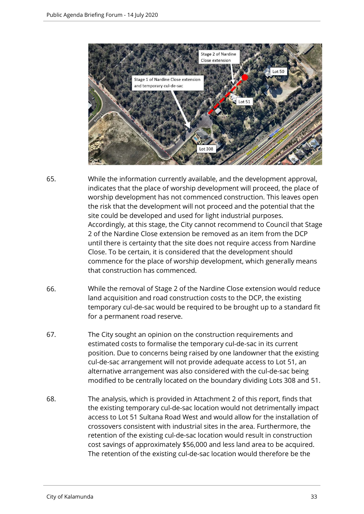

- 65. While the information currently available, and the development approval, indicates that the place of worship development will proceed, the place of worship development has not commenced construction. This leaves open the risk that the development will not proceed and the potential that the site could be developed and used for light industrial purposes. Accordingly, at this stage, the City cannot recommend to Council that Stage 2 of the Nardine Close extension be removed as an item from the DCP until there is certainty that the site does not require access from Nardine Close. To be certain, it is considered that the development should commence for the place of worship development, which generally means that construction has commenced.
- 66. While the removal of Stage 2 of the Nardine Close extension would reduce land acquisition and road construction costs to the DCP, the existing temporary cul-de-sac would be required to be brought up to a standard fit for a permanent road reserve.
- 67. The City sought an opinion on the construction requirements and estimated costs to formalise the temporary cul-de-sac in its current position. Due to concerns being raised by one landowner that the existing cul-de-sac arrangement will not provide adequate access to Lot 51, an alternative arrangement was also considered with the cul-de-sac being modified to be centrally located on the boundary dividing Lots 308 and 51.
- 68. The analysis, which is provided in Attachment 2 of this report, finds that the existing temporary cul-de-sac location would not detrimentally impact access to Lot 51 Sultana Road West and would allow for the installation of crossovers consistent with industrial sites in the area. Furthermore, the retention of the existing cul-de-sac location would result in construction cost savings of approximately \$56,000 and less land area to be acquired. The retention of the existing cul-de-sac location would therefore be the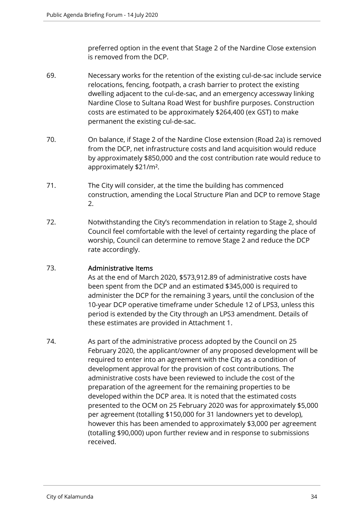preferred option in the event that Stage 2 of the Nardine Close extension is removed from the DCP.

- 69. Necessary works for the retention of the existing cul-de-sac include service relocations, fencing, footpath, a crash barrier to protect the existing dwelling adjacent to the cul-de-sac, and an emergency accessway linking Nardine Close to Sultana Road West for bushfire purposes. Construction costs are estimated to be approximately \$264,400 (ex GST) to make permanent the existing cul-de-sac.
- 70. On balance, if Stage 2 of the Nardine Close extension (Road 2a) is removed from the DCP, net infrastructure costs and land acquisition would reduce by approximately \$850,000 and the cost contribution rate would reduce to approximately \$21/m².
- 71. The City will consider, at the time the building has commenced construction, amending the Local Structure Plan and DCP to remove Stage 2.
- 72. Notwithstanding the City's recommendation in relation to Stage 2, should Council feel comfortable with the level of certainty regarding the place of worship, Council can determine to remove Stage 2 and reduce the DCP rate accordingly.

#### 73. Administrative Items

As at the end of March 2020, \$573,912.89 of administrative costs have been spent from the DCP and an estimated \$345,000 is required to administer the DCP for the remaining 3 years, until the conclusion of the 10-year DCP operative timeframe under Schedule 12 of LPS3, unless this period is extended by the City through an LPS3 amendment. Details of these estimates are provided in Attachment 1.

74. As part of the administrative process adopted by the Council on 25 February 2020, the applicant/owner of any proposed development will be required to enter into an agreement with the City as a condition of development approval for the provision of cost contributions. The administrative costs have been reviewed to include the cost of the preparation of the agreement for the remaining properties to be developed within the DCP area. It is noted that the estimated costs presented to the OCM on 25 February 2020 was for approximately \$5,000 per agreement (totalling \$150,000 for 31 landowners yet to develop), however this has been amended to approximately \$3,000 per agreement (totalling \$90,000) upon further review and in response to submissions received.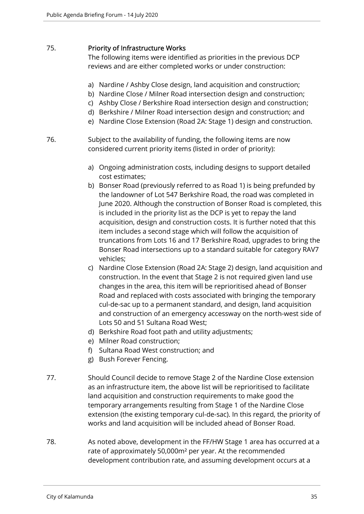#### 75. Priority of Infrastructure Works

The following items were identified as priorities in the previous DCP reviews and are either completed works or under construction:

- a) Nardine / Ashby Close design, land acquisition and construction;
- b) Nardine Close / Milner Road intersection design and construction;
- c) Ashby Close / Berkshire Road intersection design and construction;
- d) Berkshire / Milner Road intersection design and construction; and
- e) Nardine Close Extension (Road 2A: Stage 1) design and construction.
- 76. Subject to the availability of funding, the following items are now considered current priority items (listed in order of priority):
	- a) Ongoing administration costs, including designs to support detailed cost estimates;
	- b) Bonser Road (previously referred to as Road 1) is being prefunded by the landowner of Lot 547 Berkshire Road, the road was completed in June 2020. Although the construction of Bonser Road is completed, this is included in the priority list as the DCP is yet to repay the land acquisition, design and construction costs. It is further noted that this item includes a second stage which will follow the acquisition of truncations from Lots 16 and 17 Berkshire Road, upgrades to bring the Bonser Road intersections up to a standard suitable for category RAV7 vehicles;
	- c) Nardine Close Extension (Road 2A: Stage 2) design, land acquisition and construction. In the event that Stage 2 is not required given land use changes in the area, this item will be reprioritised ahead of Bonser Road and replaced with costs associated with bringing the temporary cul-de-sac up to a permanent standard, and design, land acquisition and construction of an emergency accessway on the north-west side of Lots 50 and 51 Sultana Road West;
	- d) Berkshire Road foot path and utility adjustments;
	- e) Milner Road construction;
	- f) Sultana Road West construction; and
	- g) Bush Forever Fencing.
- 77. Should Council decide to remove Stage 2 of the Nardine Close extension as an infrastructure item, the above list will be reprioritised to facilitate land acquisition and construction requirements to make good the temporary arrangements resulting from Stage 1 of the Nardine Close extension (the existing temporary cul-de-sac). In this regard, the priority of works and land acquisition will be included ahead of Bonser Road.
- 78. As noted above, development in the FF/HW Stage 1 area has occurred at a rate of approximately 50,000m² per year. At the recommended development contribution rate, and assuming development occurs at a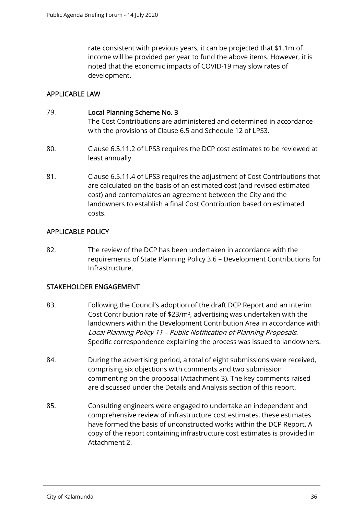rate consistent with previous years, it can be projected that \$1.1m of income will be provided per year to fund the above items. However, it is noted that the economic impacts of COVID-19 may slow rates of development.

#### APPLICABLE LAW

#### 79. Local Planning Scheme No. 3

The Cost Contributions are administered and determined in accordance with the provisions of Clause 6.5 and Schedule 12 of LPS3.

- 80. Clause 6.5.11.2 of LPS3 requires the DCP cost estimates to be reviewed at least annually.
- 81. Clause 6.5.11.4 of LPS3 requires the adjustment of Cost Contributions that are calculated on the basis of an estimated cost (and revised estimated cost) and contemplates an agreement between the City and the landowners to establish a final Cost Contribution based on estimated costs.

#### APPLICABLE POLICY

82. The review of the DCP has been undertaken in accordance with the requirements of State Planning Policy 3.6 – Development Contributions for Infrastructure.

#### STAKEHOLDER ENGAGEMENT

- 83. Following the Council's adoption of the draft DCP Report and an interim Cost Contribution rate of \$23/m², advertising was undertaken with the landowners within the Development Contribution Area in accordance with Local Planning Policy 11 – Public Notification of Planning Proposals. Specific correspondence explaining the process was issued to landowners.
- 84. During the advertising period, a total of eight submissions were received, comprising six objections with comments and two submission commenting on the proposal (Attachment 3). The key comments raised are discussed under the Details and Analysis section of this report.
- 85. Consulting engineers were engaged to undertake an independent and comprehensive review of infrastructure cost estimates, these estimates have formed the basis of unconstructed works within the DCP Report. A copy of the report containing infrastructure cost estimates is provided in Attachment 2.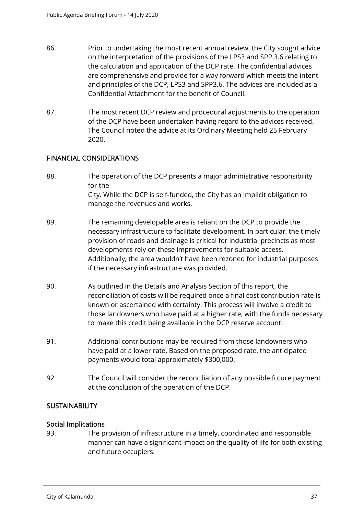- 86. Prior to undertaking the most recent annual review, the City sought advice on the interpretation of the provisions of the LPS3 and SPP 3.6 relating to the calculation and application of the DCP rate. The confidential advices are comprehensive and provide for a way forward which meets the intent and principles of the DCP, LPS3 and SPP3.6. The advices are included as a Confidential Attachment for the benefit of Council.
- 87. The most recent DCP review and procedural adjustments to the operation of the DCP have been undertaken having regard to the advices received. The Council noted the advice at its Ordinary Meeting held 25 February 2020.

#### FINANCIAL CONSIDERATIONS

- 88. The operation of the DCP presents a major administrative responsibility for the City. While the DCP is self-funded, the City has an implicit obligation to manage the revenues and works.
- 89. The remaining developable area is reliant on the DCP to provide the necessary infrastructure to facilitate development. In particular, the timely provision of roads and drainage is critical for industrial precincts as most developments rely on these improvements for suitable access. Additionally, the area wouldn't have been rezoned for industrial purposes if the necessary infrastructure was provided.
- 90. As outlined in the Details and Analysis Section of this report, the reconciliation of costs will be required once a final cost contribution rate is known or ascertained with certainty. This process will involve a credit to those landowners who have paid at a higher rate, with the funds necessary to make this credit being available in the DCP reserve account.
- 91. Additional contributions may be required from those landowners who have paid at a lower rate. Based on the proposed rate, the anticipated payments would total approximately \$300,000.
- 92. The Council will consider the reconciliation of any possible future payment at the conclusion of the operation of the DCP.

#### **SUSTAINABILITY**

#### Social Implications

93. The provision of infrastructure in a timely, coordinated and responsible manner can have a significant impact on the quality of life for both existing and future occupiers.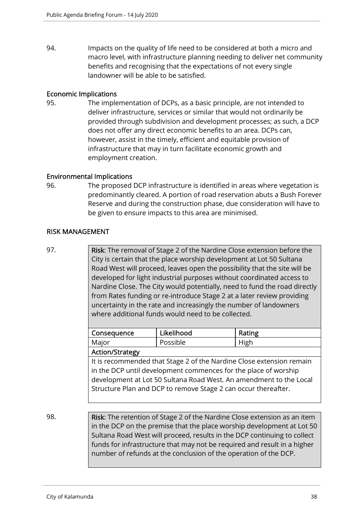94. Impacts on the quality of life need to be considered at both a micro and macro level, with infrastructure planning needing to deliver net community benefits and recognising that the expectations of not every single landowner will be able to be satisfied.

#### Economic Implications

95. The implementation of DCPs, as a basic principle, are not intended to deliver infrastructure, services or similar that would not ordinarily be provided through subdivision and development processes; as such, a DCP does not offer any direct economic benefits to an area. DCPs can, however, assist in the timely, efficient and equitable provision of infrastructure that may in turn facilitate economic growth and employment creation.

#### Environmental Implications

96. The proposed DCP infrastructure is identified in areas where vegetation is predominantly cleared. A portion of road reservation abuts a Bush Forever Reserve and during the construction phase, due consideration will have to be given to ensure impacts to this area are minimised.

#### RISK MANAGEMENT

97. Risk: The removal of Stage 2 of the Nardine Close extension before the City is certain that the place worship development at Lot 50 Sultana Road West will proceed, leaves open the possibility that the site will be developed for light industrial purposes without coordinated access to Nardine Close. The City would potentially, need to fund the road directly from Rates funding or re-introduce Stage 2 at a later review providing uncertainty in the rate and increasingly the number of landowners where additional funds would need to be collected.

| Consequence                                                          | Likelihood | Rating |  |  |  |
|----------------------------------------------------------------------|------------|--------|--|--|--|
| Major                                                                | Possible   | High   |  |  |  |
| <b>Action/Strategy</b>                                               |            |        |  |  |  |
| It is recommended that Stage 2 of the Nardine Close extension remain |            |        |  |  |  |
| in the DCP until development commences for the place of worship      |            |        |  |  |  |
| development at Lot 50 Sultana Road West. An amendment to the Local   |            |        |  |  |  |
| Structure Plan and DCP to remove Stage 2 can occur thereafter.       |            |        |  |  |  |
|                                                                      |            |        |  |  |  |

98. **Risk:** The retention of Stage 2 of the Nardine Close extension as an item in the DCP on the premise that the place worship development at Lot 50 Sultana Road West will proceed, results in the DCP continuing to collect funds for infrastructure that may not be required and result in a higher number of refunds at the conclusion of the operation of the DCP.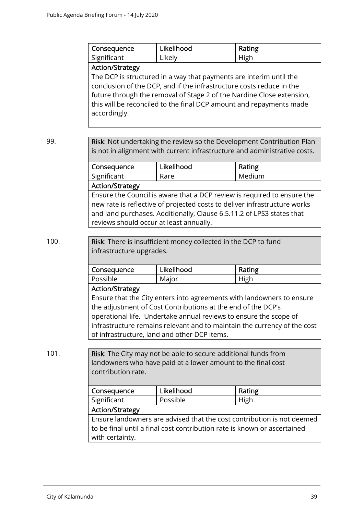|      | Consequence                                                               | Likelihood                                                            | Rating                                                                    |  |
|------|---------------------------------------------------------------------------|-----------------------------------------------------------------------|---------------------------------------------------------------------------|--|
|      | Significant                                                               | Likely                                                                | High                                                                      |  |
|      | <b>Action/Strategy</b>                                                    |                                                                       |                                                                           |  |
|      |                                                                           | The DCP is structured in a way that payments are interim until the    |                                                                           |  |
|      |                                                                           | conclusion of the DCP, and if the infrastructure costs reduce in the  |                                                                           |  |
|      |                                                                           | future through the removal of Stage 2 of the Nardine Close extension, |                                                                           |  |
|      |                                                                           | this will be reconciled to the final DCP amount and repayments made   |                                                                           |  |
|      | accordingly.                                                              |                                                                       |                                                                           |  |
|      |                                                                           |                                                                       |                                                                           |  |
|      |                                                                           |                                                                       |                                                                           |  |
| 99.  |                                                                           |                                                                       | Risk: Not undertaking the review so the Development Contribution Plan     |  |
|      |                                                                           |                                                                       | is not in alignment with current infrastructure and administrative costs. |  |
|      | Consequence                                                               | Likelihood                                                            | Rating                                                                    |  |
|      | Significant                                                               | Rare                                                                  | Medium                                                                    |  |
|      | <b>Action/Strategy</b>                                                    |                                                                       |                                                                           |  |
|      | Ensure the Council is aware that a DCP review is required to ensure the   |                                                                       |                                                                           |  |
|      | new rate is reflective of projected costs to deliver infrastructure works |                                                                       |                                                                           |  |
|      | and land purchases. Additionally, Clause 6.5.11.2 of LPS3 states that     |                                                                       |                                                                           |  |
|      | reviews should occur at least annually.                                   |                                                                       |                                                                           |  |
|      |                                                                           |                                                                       |                                                                           |  |
| 100. | Risk: There is insufficient money collected in the DCP to fund            |                                                                       |                                                                           |  |
|      | infrastructure upgrades.                                                  |                                                                       |                                                                           |  |
|      |                                                                           |                                                                       |                                                                           |  |
|      | Consequence                                                               | Likelihood                                                            | Rating                                                                    |  |
|      | Possible                                                                  | Major                                                                 | High                                                                      |  |
|      | <b>Action/Strategy</b>                                                    |                                                                       |                                                                           |  |
|      | Ensure that the City enters into agreements with landowners to ensure     |                                                                       |                                                                           |  |
|      | the adjustment of Cost Contributions at the end of the DCP's              |                                                                       |                                                                           |  |
|      | operational life. Undertake annual reviews to ensure the scope of         |                                                                       |                                                                           |  |
|      | infrastructure remains relevant and to maintain the currency of the cost  |                                                                       |                                                                           |  |
|      |                                                                           | of infrastructure, land and other DCP items.                          |                                                                           |  |
|      |                                                                           |                                                                       |                                                                           |  |
| 101. |                                                                           | Risk: The City may not be able to secure additional funds from        |                                                                           |  |

landowners who have paid at a lower amount to the final cost contribution rate.

| Consequence                                                              | Likelihood | Rating |  |  |
|--------------------------------------------------------------------------|------------|--------|--|--|
| Significant                                                              | Possible   | High   |  |  |
| <b>Action/Strategy</b>                                                   |            |        |  |  |
| Ensure landowners are advised that the cost contribution is not deemed   |            |        |  |  |
| to be final until a final cost contribution rate is known or ascertained |            |        |  |  |
| with certainty.                                                          |            |        |  |  |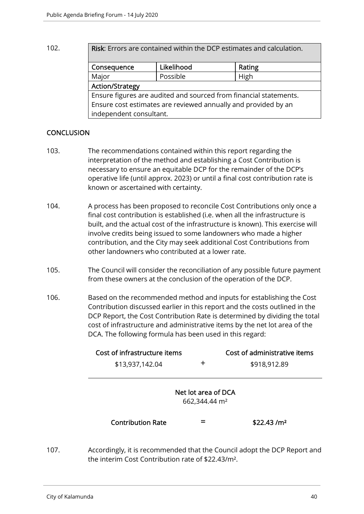102. **Risk:** Errors are contained within the DCP estimates and calculation.

| Consequence                                                       | Likelihood | Rating |  |  |
|-------------------------------------------------------------------|------------|--------|--|--|
| Major                                                             | Possible   | High   |  |  |
| <b>Action/Strategy</b>                                            |            |        |  |  |
| Ensure figures are audited and sourced from financial statements. |            |        |  |  |
| Ensure cost estimates are reviewed annually and provided by an    |            |        |  |  |
| independent consultant.                                           |            |        |  |  |

#### **CONCLUSION**

- 103. The recommendations contained within this report regarding the interpretation of the method and establishing a Cost Contribution is necessary to ensure an equitable DCP for the remainder of the DCP's operative life (until approx. 2023) or until a final cost contribution rate is known or ascertained with certainty.
- 104. A process has been proposed to reconcile Cost Contributions only once a final cost contribution is established (i.e. when all the infrastructure is built, and the actual cost of the infrastructure is known). This exercise will involve credits being issued to some landowners who made a higher contribution, and the City may seek additional Cost Contributions from other landowners who contributed at a lower rate.
- 105. The Council will consider the reconciliation of any possible future payment from these owners at the conclusion of the operation of the DCP.
- 106. Based on the recommended method and inputs for establishing the Cost Contribution discussed earlier in this report and the costs outlined in the DCP Report, the Cost Contribution Rate is determined by dividing the total cost of infrastructure and administrative items by the net lot area of the DCA. The following formula has been used in this regard:

| Cost of infrastructure items                     |   | Cost of administrative items |  |
|--------------------------------------------------|---|------------------------------|--|
| \$13,937,142.04                                  | ┿ | \$918,912.89                 |  |
| Net lot area of DCA<br>662,344.44 m <sup>2</sup> |   |                              |  |
| <b>Contribution Rate</b>                         |   | \$22.43/m <sup>2</sup>       |  |

107. Accordingly, it is recommended that the Council adopt the DCP Report and the interim Cost Contribution rate of \$22.43/m².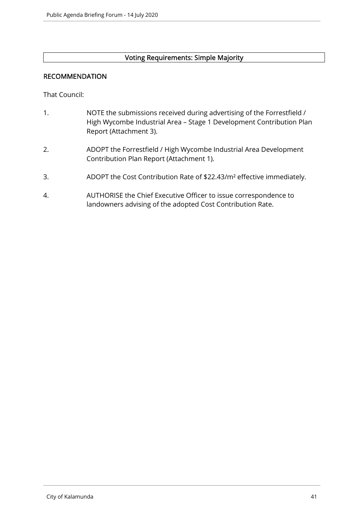#### Voting Requirements: Simple Majority

#### RECOMMENDATION

That Council:

- 1. NOTE the submissions received during advertising of the Forrestfield / High Wycombe Industrial Area – Stage 1 Development Contribution Plan Report (Attachment 3).
- 2. ADOPT the Forrestfield / High Wycombe Industrial Area Development Contribution Plan Report (Attachment 1).
- 3. ADOPT the Cost Contribution Rate of \$22.43/m² effective immediately.
- 4. AUTHORISE the Chief Executive Officer to issue correspondence to landowners advising of the adopted Cost Contribution Rate.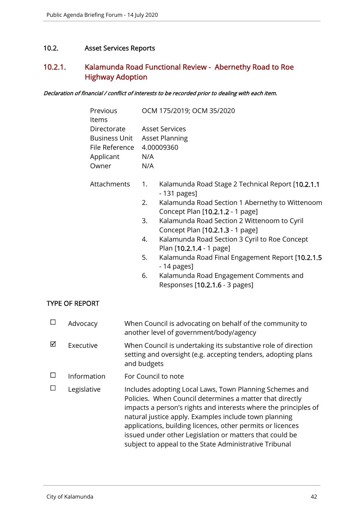#### 10.2. Asset Services Reports

# 10.2.1. Kalamunda Road Functional Review - Abernethy Road to Roe Highway Adoption

Declaration of financial / conflict of interests to be recorded prior to dealing with each item.

| Previous<br>Items                   |     | OCM 175/2019; OCM 35/2020                                                           |
|-------------------------------------|-----|-------------------------------------------------------------------------------------|
| Directorate                         |     | Asset Services                                                                      |
| <b>Business Unit Asset Planning</b> |     |                                                                                     |
| File Reference                      |     | 4.00009360                                                                          |
| Applicant                           | N/A |                                                                                     |
| Owner                               | N/A |                                                                                     |
| Attachments                         | 1.  | Kalamunda Road Stage 2 Technical Report [10.2.1.1]<br>- 131 pages]                  |
|                                     | 2.  | Kalamunda Road Section 1 Abernethy to Wittenoom<br>Concept Plan [10.2.1.2 - 1 page] |
|                                     | 3.  | Kalamunda Road Section 2 Wittenoom to Cyril<br>Concept Plan [10.2.1.3 - 1 page]     |
|                                     | 4.  | Kalamunda Road Section 3 Cyril to Roe Concept<br>Plan [10.2.1.4 - 1 page]           |
|                                     | 5.  | Kalamunda Road Final Engagement Report [10.2.1.5]<br>- 14 pages]                    |
|                                     | 6.  | Kalamunda Road Engagement Comments and<br>Responses [10.2.1.6 - 3 pages]            |

#### TYPE OF REPORT

| □      | Advocacy    | When Council is advocating on behalf of the community to<br>another level of government/body/agency                                                                                                                                                                                                                                                                                                                                |
|--------|-------------|------------------------------------------------------------------------------------------------------------------------------------------------------------------------------------------------------------------------------------------------------------------------------------------------------------------------------------------------------------------------------------------------------------------------------------|
| ⊠      | Executive   | When Council is undertaking its substantive role of direction<br>setting and oversight (e.g. accepting tenders, adopting plans<br>and budgets                                                                                                                                                                                                                                                                                      |
| □      | Information | For Council to note                                                                                                                                                                                                                                                                                                                                                                                                                |
| $\Box$ | Legislative | Includes adopting Local Laws, Town Planning Schemes and<br>Policies. When Council determines a matter that directly<br>impacts a person's rights and interests where the principles of<br>natural justice apply. Examples include town planning<br>applications, building licences, other permits or licences<br>issued under other Legislation or matters that could be<br>subject to appeal to the State Administrative Tribunal |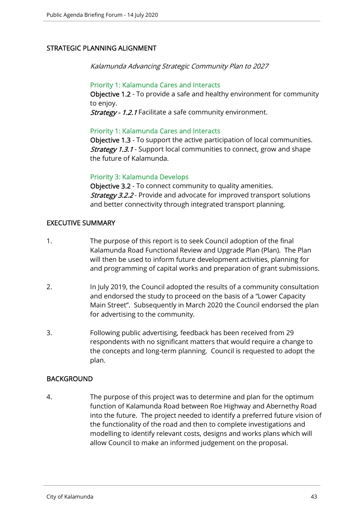#### STRATEGIC PLANNING ALIGNMENT

Kalamunda Advancing Strategic Community Plan to 2027

#### Priority 1: Kalamunda Cares and Interacts

Objective 1.2 - To provide a safe and healthy environment for community to enjoy.

Strategy - 1.2.1 Facilitate a safe community environment.

#### Priority 1: Kalamunda Cares and Interacts

Objective 1.3 - To support the active participation of local communities. **Strategy 1.3.1** - Support local communities to connect, grow and shape the future of Kalamunda.

#### Priority 3: Kalamunda Develops

Objective 3.2 - To connect community to quality amenities. **Strategy 3.2.2** - Provide and advocate for improved transport solutions and better connectivity through integrated transport planning.

#### EXECUTIVE SUMMARY

- 1. The purpose of this report is to seek Council adoption of the final Kalamunda Road Functional Review and Upgrade Plan (Plan). The Plan will then be used to inform future development activities, planning for and programming of capital works and preparation of grant submissions.
- 2. In July 2019, the Council adopted the results of a community consultation and endorsed the study to proceed on the basis of a "Lower Capacity Main Street". Subsequently in March 2020 the Council endorsed the plan for advertising to the community.
- 3. Following public advertising, feedback has been received from 29 respondents with no significant matters that would require a change to the concepts and long-term planning. Council is requested to adopt the plan.

#### **BACKGROUND**

4. The purpose of this project was to determine and plan for the optimum function of Kalamunda Road between Roe Highway and Abernethy Road into the future. The project needed to identify a preferred future vision of the functionality of the road and then to complete investigations and modelling to identify relevant costs, designs and works plans which will allow Council to make an informed judgement on the proposal.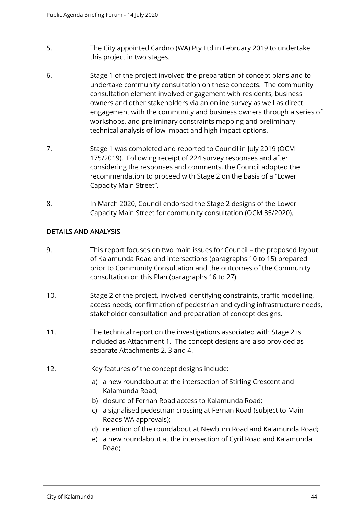- 5. The City appointed Cardno (WA) Pty Ltd in February 2019 to undertake this project in two stages.
- 6. Stage 1 of the project involved the preparation of concept plans and to undertake community consultation on these concepts. The community consultation element involved engagement with residents, business owners and other stakeholders via an online survey as well as direct engagement with the community and business owners through a series of workshops, and preliminary constraints mapping and preliminary technical analysis of low impact and high impact options.
- 7. Stage 1 was completed and reported to Council in July 2019 (OCM 175/2019). Following receipt of 224 survey responses and after considering the responses and comments, the Council adopted the recommendation to proceed with Stage 2 on the basis of a "Lower Capacity Main Street".
- 8. In March 2020, Council endorsed the Stage 2 designs of the Lower Capacity Main Street for community consultation (OCM 35/2020).

#### DETAILS AND ANALYSIS

- 9. This report focuses on two main issues for Council the proposed layout of Kalamunda Road and intersections (paragraphs 10 to 15) prepared prior to Community Consultation and the outcomes of the Community consultation on this Plan (paragraphs 16 to 27).
- 10. Stage 2 of the project, involved identifying constraints, traffic modelling, access needs, confirmation of pedestrian and cycling infrastructure needs, stakeholder consultation and preparation of concept designs.
- 11. The technical report on the investigations associated with Stage 2 is included as Attachment 1. The concept designs are also provided as separate Attachments 2, 3 and 4.
- 12. Key features of the concept designs include:
	- a) a new roundabout at the intersection of Stirling Crescent and Kalamunda Road;
	- b) closure of Fernan Road access to Kalamunda Road;
	- c) a signalised pedestrian crossing at Fernan Road (subject to Main Roads WA approvals);
	- d) retention of the roundabout at Newburn Road and Kalamunda Road;
	- e) a new roundabout at the intersection of Cyril Road and Kalamunda Road;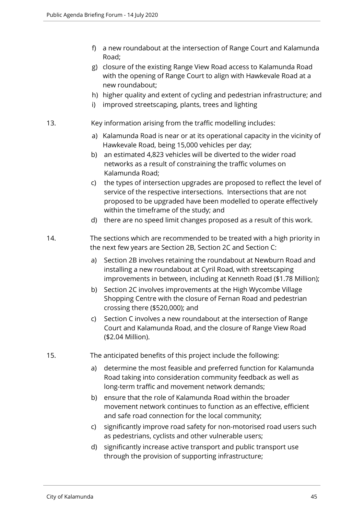- f) a new roundabout at the intersection of Range Court and Kalamunda Road;
- g) closure of the existing Range View Road access to Kalamunda Road with the opening of Range Court to align with Hawkevale Road at a new roundabout;
- h) higher quality and extent of cycling and pedestrian infrastructure; and
- i) improved streetscaping, plants, trees and lighting
- 13. Key information arising from the traffic modelling includes:
	- a) Kalamunda Road is near or at its operational capacity in the vicinity of Hawkevale Road, being 15,000 vehicles per day;
	- b) an estimated 4,823 vehicles will be diverted to the wider road networks as a result of constraining the traffic volumes on Kalamunda Road;
	- c) the types of intersection upgrades are proposed to reflect the level of service of the respective intersections. Intersections that are not proposed to be upgraded have been modelled to operate effectively within the timeframe of the study; and
	- d) there are no speed limit changes proposed as a result of this work.
- 14. The sections which are recommended to be treated with a high priority in the next few years are Section 2B, Section 2C and Section C:
	- a) Section 2B involves retaining the roundabout at Newburn Road and installing a new roundabout at Cyril Road, with streetscaping improvements in between, including at Kenneth Road (\$1.78 Million);
	- b) Section 2C involves improvements at the High Wycombe Village Shopping Centre with the closure of Fernan Road and pedestrian crossing there (\$520,000); and
	- c) Section C involves a new roundabout at the intersection of Range Court and Kalamunda Road, and the closure of Range View Road (\$2.04 Million).
- 15. The anticipated benefits of this project include the following:
	- a) determine the most feasible and preferred function for Kalamunda Road taking into consideration community feedback as well as long-term traffic and movement network demands;
	- b) ensure that the role of Kalamunda Road within the broader movement network continues to function as an effective, efficient and safe road connection for the local community;
	- c) significantly improve road safety for non-motorised road users such as pedestrians, cyclists and other vulnerable users;
	- d) significantly increase active transport and public transport use through the provision of supporting infrastructure;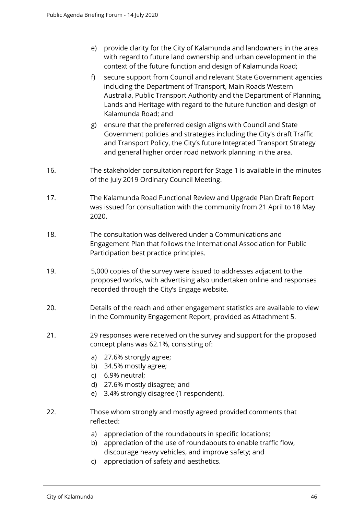- e) provide clarity for the City of Kalamunda and landowners in the area with regard to future land ownership and urban development in the context of the future function and design of Kalamunda Road;
- f) secure support from Council and relevant State Government agencies including the Department of Transport, Main Roads Western Australia, Public Transport Authority and the Department of Planning, Lands and Heritage with regard to the future function and design of Kalamunda Road; and
- g) ensure that the preferred design aligns with Council and State Government policies and strategies including the City's draft Traffic and Transport Policy, the City's future Integrated Transport Strategy and general higher order road network planning in the area.
- 16. The stakeholder consultation report for Stage 1 is available in the minutes of the July 2019 Ordinary Council Meeting.
- 17. The Kalamunda Road Functional Review and Upgrade Plan Draft Report was issued for consultation with the community from 21 April to 18 May 2020.
- 18. The consultation was delivered under a Communications and Engagement Plan that follows the International Association for Public Participation best practice principles.
- 19. 5,000 copies of the survey were issued to addresses adjacent to the proposed works, with advertising also undertaken online and responses recorded through the City's Engage website.
- 20. Details of the reach and other engagement statistics are available to view in the Community Engagement Report, provided as Attachment 5.
- 21. 29 responses were received on the survey and support for the proposed concept plans was 62.1%, consisting of:
	- a) 27.6% strongly agree;
	- b) 34.5% mostly agree;
	- c) 6.9% neutral;
	- d) 27.6% mostly disagree; and
	- e) 3.4% strongly disagree (1 respondent).
- 22. Those whom strongly and mostly agreed provided comments that reflected:
	- a) appreciation of the roundabouts in specific locations;
	- b) appreciation of the use of roundabouts to enable traffic flow, discourage heavy vehicles, and improve safety; and
	- c) appreciation of safety and aesthetics.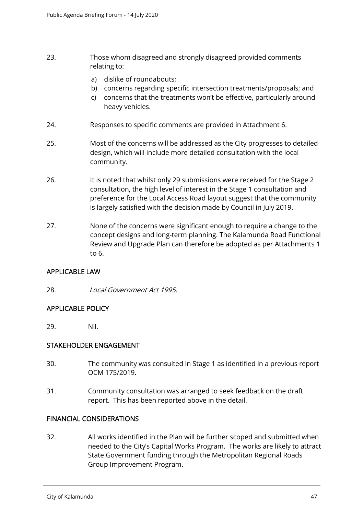- 23. Those whom disagreed and strongly disagreed provided comments relating to:
	- a) dislike of roundabouts;
	- b) concerns regarding specific intersection treatments/proposals; and
	- c) concerns that the treatments won't be effective, particularly around heavy vehicles.
- 24. Responses to specific comments are provided in Attachment 6.
- 25. Most of the concerns will be addressed as the City progresses to detailed design, which will include more detailed consultation with the local community.
- 26. It is noted that whilst only 29 submissions were received for the Stage 2 consultation, the high level of interest in the Stage 1 consultation and preference for the Local Access Road layout suggest that the community is largely satisfied with the decision made by Council in July 2019.
- 27. None of the concerns were significant enough to require a change to the concept designs and long-term planning. The Kalamunda Road Functional Review and Upgrade Plan can therefore be adopted as per Attachments 1 to 6.

#### APPLICABLE LAW

28. Local Government Act 1995.

#### APPLICABLE POLICY

29. Nil.

#### STAKEHOLDER ENGAGEMENT

- 30. The community was consulted in Stage 1 as identified in a previous report OCM 175/2019.
- 31. Community consultation was arranged to seek feedback on the draft report. This has been reported above in the detail.

#### FINANCIAL CONSIDERATIONS

32. All works identified in the Plan will be further scoped and submitted when needed to the City's Capital Works Program. The works are likely to attract State Government funding through the Metropolitan Regional Roads Group Improvement Program.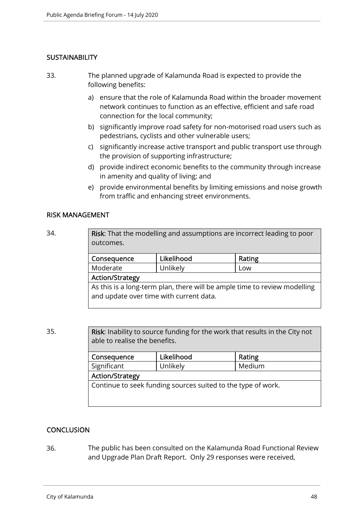#### **SUSTAINABILITY**

- 33. The planned upgrade of Kalamunda Road is expected to provide the following benefits:
	- a) ensure that the role of Kalamunda Road within the broader movement network continues to function as an effective, efficient and safe road connection for the local community;
	- b) significantly improve road safety for non-motorised road users such as pedestrians, cyclists and other vulnerable users;
	- c) significantly increase active transport and public transport use through the provision of supporting infrastructure;
	- d) provide indirect economic benefits to the community through increase in amenity and quality of living; and
	- e) provide environmental benefits by limiting emissions and noise growth from traffic and enhancing street environments.

#### RISK MANAGEMENT

| 34. | <b>Risk:</b> That the modelling and assumptions are incorrect leading to poor<br>outcomes. |            |        |  |
|-----|--------------------------------------------------------------------------------------------|------------|--------|--|
|     | Consequence                                                                                | Likelihood | Rating |  |
|     | Moderate                                                                                   | Unlikely   | Low    |  |
|     | <b>Action/Strategy</b>                                                                     |            |        |  |
|     | As this is a long-term plan, there will be ample time to review modelling                  |            |        |  |

and update over time with current data.

35. Risk: Inability to source funding for the work that results in the City not able to realise the benefits.

| Consequence                                                  | Likelihood | Rating |  |  |
|--------------------------------------------------------------|------------|--------|--|--|
| Significant                                                  | Unlikely   | Medium |  |  |
| <b>Action/Strategy</b>                                       |            |        |  |  |
| Continue to seek funding sources suited to the type of work. |            |        |  |  |
|                                                              |            |        |  |  |

#### **CONCLUSION**

36. The public has been consulted on the Kalamunda Road Functional Review and Upgrade Plan Draft Report. Only 29 responses were received,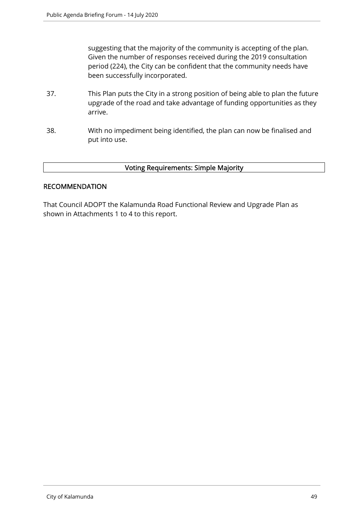suggesting that the majority of the community is accepting of the plan. Given the number of responses received during the 2019 consultation period (224), the City can be confident that the community needs have been successfully incorporated.

- 37. This Plan puts the City in a strong position of being able to plan the future upgrade of the road and take advantage of funding opportunities as they arrive.
- 38. With no impediment being identified, the plan can now be finalised and put into use.

#### Voting Requirements: Simple Majority

#### **RECOMMENDATION**

That Council ADOPT the Kalamunda Road Functional Review and Upgrade Plan as shown in Attachments 1 to 4 to this report.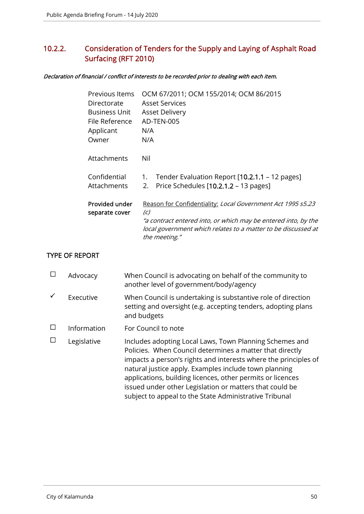# 10.2.2. Consideration of Tenders for the Supply and Laying of Asphalt Road Surfacing (RFT 2010)

#### Declaration of financial / conflict of interests to be recorded prior to dealing with each item.

| Previous Items<br>Directorate<br><b>Business Unit</b><br>File Reference<br>Applicant<br>Owner | OCM 67/2011; OCM 155/2014; OCM 86/2015<br><b>Asset Services</b><br><b>Asset Delivery</b><br>AD-TEN-005<br>N/A<br>N/A                                                                                                                 |
|-----------------------------------------------------------------------------------------------|--------------------------------------------------------------------------------------------------------------------------------------------------------------------------------------------------------------------------------------|
| Attachments                                                                                   | Nil                                                                                                                                                                                                                                  |
| Confidential<br>Attachments                                                                   | Tender Evaluation Report [10.2.1.1 - 12 pages]<br>1.<br>2. Price Schedules [10.2.1.2 - 13 pages]                                                                                                                                     |
| Provided under<br>separate cover                                                              | Reason for Confidentiality: Local Government Act 1995 s5.23<br>$\left( c\right)$<br>"a contract entered into, or which may be entered into, by the<br>local government which relates to a matter to be discussed at<br>the meeting." |
|                                                                                               |                                                                                                                                                                                                                                      |

#### TYPE OF REPORT

| Advocacy    | When Council is advocating on behalf of the community to<br>another level of government/body/agency                                                                                                                                                                                                                                                                                                                                |
|-------------|------------------------------------------------------------------------------------------------------------------------------------------------------------------------------------------------------------------------------------------------------------------------------------------------------------------------------------------------------------------------------------------------------------------------------------|
| Executive   | When Council is undertaking is substantive role of direction<br>setting and oversight (e.g. accepting tenders, adopting plans<br>and budgets                                                                                                                                                                                                                                                                                       |
| Information | For Council to note                                                                                                                                                                                                                                                                                                                                                                                                                |
| Legislative | Includes adopting Local Laws, Town Planning Schemes and<br>Policies. When Council determines a matter that directly<br>impacts a person's rights and interests where the principles of<br>natural justice apply. Examples include town planning<br>applications, building licences, other permits or licences<br>issued under other Legislation or matters that could be<br>subject to appeal to the State Administrative Tribunal |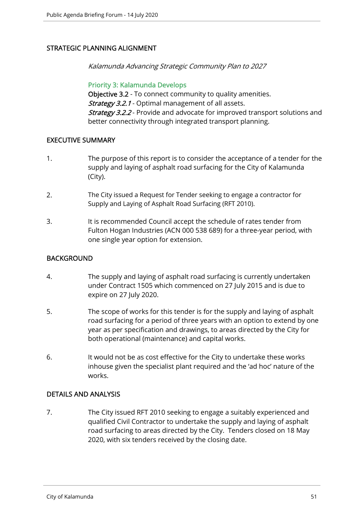#### STRATEGIC PLANNING ALIGNMENT

Kalamunda Advancing Strategic Community Plan to 2027

Priority 3: Kalamunda Develops Objective 3.2 - To connect community to quality amenities. Strategy 3.2.1 - Optimal management of all assets. **Strategy 3.2.2** - Provide and advocate for improved transport solutions and better connectivity through integrated transport planning.

#### EXECUTIVE SUMMARY

- 1. The purpose of this report is to consider the acceptance of a tender for the supply and laying of asphalt road surfacing for the City of Kalamunda (City).
- 2. The City issued a Request for Tender seeking to engage a contractor for Supply and Laying of Asphalt Road Surfacing (RFT 2010).
- 3. It is recommended Council accept the schedule of rates tender from Fulton Hogan Industries (ACN 000 538 689) for a three-year period, with one single year option for extension.

#### **BACKGROUND**

- 4. The supply and laying of asphalt road surfacing is currently undertaken under Contract 1505 which commenced on 27 July 2015 and is due to expire on 27 July 2020.
- 5. The scope of works for this tender is for the supply and laying of asphalt road surfacing for a period of three years with an option to extend by one year as per specification and drawings, to areas directed by the City for both operational (maintenance) and capital works.
- 6. It would not be as cost effective for the City to undertake these works inhouse given the specialist plant required and the 'ad hoc' nature of the works.

#### DETAILS AND ANALYSIS

7. The City issued RFT 2010 seeking to engage a suitably experienced and qualified Civil Contractor to undertake the supply and laying of asphalt road surfacing to areas directed by the City. Tenders closed on 18 May 2020, with six tenders received by the closing date.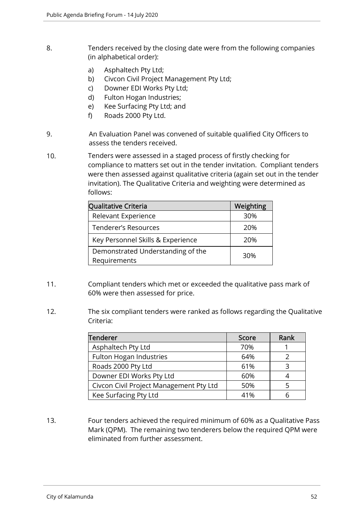- 8. Tenders received by the closing date were from the following companies (in alphabetical order):
	- a) Asphaltech Pty Ltd;
	- b) Civcon Civil Project Management Pty Ltd;
	- c) Downer EDI Works Pty Ltd;
	- d) Fulton Hogan Industries;
	- e) Kee Surfacing Pty Ltd; and
	- f) Roads 2000 Pty Ltd.
- 9. An Evaluation Panel was convened of suitable qualified City Officers to assess the tenders received.
- 10. Tenders were assessed in a staged process of firstly checking for compliance to matters set out in the tender invitation. Compliant tenders were then assessed against qualitative criteria (again set out in the tender invitation). The Qualitative Criteria and weighting were determined as follows:

| Qualitative Criteria                              | Weighting |
|---------------------------------------------------|-----------|
| Relevant Experience                               | 30%       |
| Tenderer's Resources                              | 20%       |
| Key Personnel Skills & Experience                 | 20%       |
| Demonstrated Understanding of the<br>Requirements | 30%       |

- 11. Compliant tenders which met or exceeded the qualitative pass mark of 60% were then assessed for price.
- 12. The six compliant tenders were ranked as follows regarding the Qualitative Criteria:

| <b>Tenderer</b>                         | Score | Rank |
|-----------------------------------------|-------|------|
| Asphaltech Pty Ltd                      | 70%   |      |
| Fulton Hogan Industries                 | 64%   |      |
| Roads 2000 Pty Ltd                      | 61%   | ੨    |
| Downer EDI Works Pty Ltd                | 60%   |      |
| Civcon Civil Project Management Pty Ltd | 50%   |      |
| Kee Surfacing Pty Ltd                   | 41%   |      |

13. Four tenders achieved the required minimum of 60% as a Qualitative Pass Mark (QPM). The remaining two tenderers below the required QPM were eliminated from further assessment.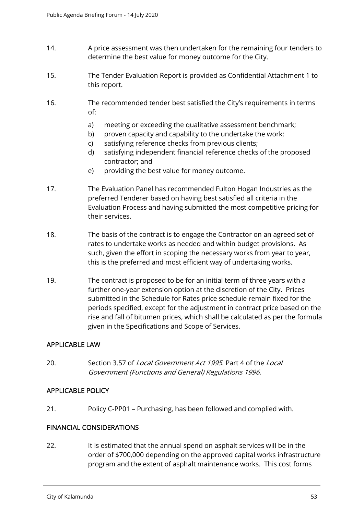- 14. A price assessment was then undertaken for the remaining four tenders to determine the best value for money outcome for the City.
- 15. The Tender Evaluation Report is provided as Confidential Attachment 1 to this report.
- 16. The recommended tender best satisfied the City's requirements in terms of:
	- a) meeting or exceeding the qualitative assessment benchmark;
	- b) proven capacity and capability to the undertake the work;
	- c) satisfying reference checks from previous clients;
	- d) satisfying independent financial reference checks of the proposed contractor; and
	- e) providing the best value for money outcome.
- 17. The Evaluation Panel has recommended Fulton Hogan Industries as the preferred Tenderer based on having best satisfied all criteria in the Evaluation Process and having submitted the most competitive pricing for their services.
- 18. The basis of the contract is to engage the Contractor on an agreed set of rates to undertake works as needed and within budget provisions. As such, given the effort in scoping the necessary works from year to year, this is the preferred and most efficient way of undertaking works.
- 19. The contract is proposed to be for an initial term of three years with a further one-year extension option at the discretion of the City. Prices submitted in the Schedule for Rates price schedule remain fixed for the periods specified, except for the adjustment in contract price based on the rise and fall of bitumen prices, which shall be calculated as per the formula given in the Specifications and Scope of Services.

#### APPLICABLE LAW

20. Section 3.57 of *Local Government Act 1995*. Part 4 of the *Local* Government (Functions and General) Regulations 1996.

#### APPLICABLE POLICY

21. Policy C-PP01 – Purchasing, has been followed and complied with.

#### FINANCIAL CONSIDERATIONS

22. It is estimated that the annual spend on asphalt services will be in the order of \$700,000 depending on the approved capital works infrastructure program and the extent of asphalt maintenance works. This cost forms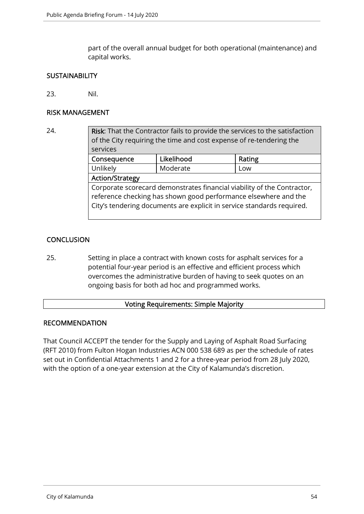part of the overall annual budget for both operational (maintenance) and capital works.

#### **SUSTAINABILITY**

23. Nil.

#### RISK MANAGEMENT

# 24. Risk: That the Contractor fails to provide the services to the satisfaction of the City requiring the time and cost expense of re-tendering the services Consequence Likelihood Rating Unlikely Moderate Low Action/Strategy Corporate scorecard demonstrates financial viability of the Contractor, reference checking has shown good performance elsewhere and the City's tendering documents are explicit in service standards required.

#### **CONCLUSION**

25. Setting in place a contract with known costs for asphalt services for a potential four-year period is an effective and efficient process which overcomes the administrative burden of having to seek quotes on an ongoing basis for both ad hoc and programmed works.

#### Voting Requirements: Simple Majority

#### RECOMMENDATION

That Council ACCEPT the tender for the Supply and Laying of Asphalt Road Surfacing (RFT 2010) from Fulton Hogan Industries ACN 000 538 689 as per the schedule of rates set out in Confidential Attachments 1 and 2 for a three-year period from 28 July 2020, with the option of a one-year extension at the City of Kalamunda's discretion.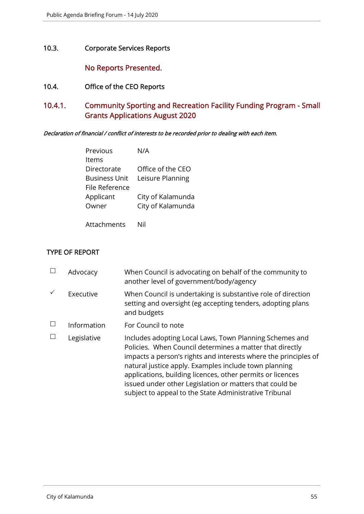10.3. Corporate Services Reports

No Reports Presented.

- 10.4. Office of the CEO Reports
- 10.4.1. Community Sporting and Recreation Facility Funding Program Small Grants Applications August 2020

Declaration of financial / conflict of interests to be recorded prior to dealing with each item.

| Previous             | N/A               |
|----------------------|-------------------|
| ltems                |                   |
| Directorate          | Office of the CEO |
| <b>Business Unit</b> | Leisure Planning  |
| File Reference       |                   |
| Applicant            | City of Kalamunda |
| Owner                | City of Kalamunda |
|                      |                   |

Attachments Nil

#### TYPE OF REPORT

| Advocacy    | When Council is advocating on behalf of the community to<br>another level of government/body/agency                                                                                                                                                                                                                                                                                                                                |
|-------------|------------------------------------------------------------------------------------------------------------------------------------------------------------------------------------------------------------------------------------------------------------------------------------------------------------------------------------------------------------------------------------------------------------------------------------|
| Executive   | When Council is undertaking is substantive role of direction<br>setting and oversight (eg accepting tenders, adopting plans<br>and budgets                                                                                                                                                                                                                                                                                         |
| Information | For Council to note                                                                                                                                                                                                                                                                                                                                                                                                                |
| Legislative | Includes adopting Local Laws, Town Planning Schemes and<br>Policies. When Council determines a matter that directly<br>impacts a person's rights and interests where the principles of<br>natural justice apply. Examples include town planning<br>applications, building licences, other permits or licences<br>issued under other Legislation or matters that could be<br>subject to appeal to the State Administrative Tribunal |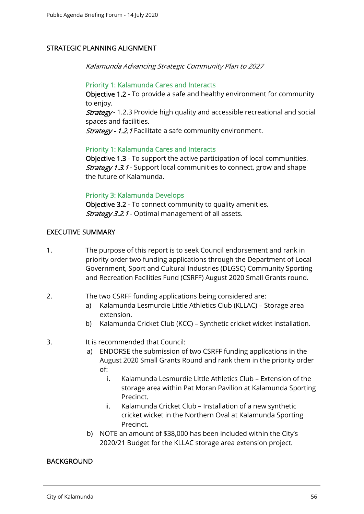#### STRATEGIC PLANNING ALIGNMENT

Kalamunda Advancing Strategic Community Plan to 2027

#### Priority 1: Kalamunda Cares and Interacts

Objective 1.2 - To provide a safe and healthy environment for community to enjoy.

**Strategy** - 1.2.3 Provide high quality and accessible recreational and social spaces and facilities.

Strategy - 1.2.1 Facilitate a safe community environment.

#### Priority 1: Kalamunda Cares and Interacts

Objective 1.3 - To support the active participation of local communities. **Strategy 1.3.1** - Support local communities to connect, grow and shape the future of Kalamunda.

#### Priority 3: Kalamunda Develops

Objective 3.2 - To connect community to quality amenities. Strategy 3.2.1 - Optimal management of all assets.

#### EXECUTIVE SUMMARY

- 1. The purpose of this report is to seek Council endorsement and rank in priority order two funding applications through the Department of Local Government, Sport and Cultural Industries (DLGSC) Community Sporting and Recreation Facilities Fund (CSRFF) August 2020 Small Grants round.
- 2. The two CSRFF funding applications being considered are:
	- a) Kalamunda Lesmurdie Little Athletics Club (KLLAC) Storage area extension.
	- b) Kalamunda Cricket Club (KCC) Synthetic cricket wicket installation.
- 3. It is recommended that Council:
	- a) ENDORSE the submission of two CSRFF funding applications in the August 2020 Small Grants Round and rank them in the priority order of:
		- i. Kalamunda Lesmurdie Little Athletics Club Extension of the storage area within Pat Moran Pavilion at Kalamunda Sporting Precinct.
		- ii. Kalamunda Cricket Club Installation of a new synthetic cricket wicket in the Northern Oval at Kalamunda Sporting Precinct.
	- b) NOTE an amount of \$38,000 has been included within the City's 2020/21 Budget for the KLLAC storage area extension project.

#### BACKGROUND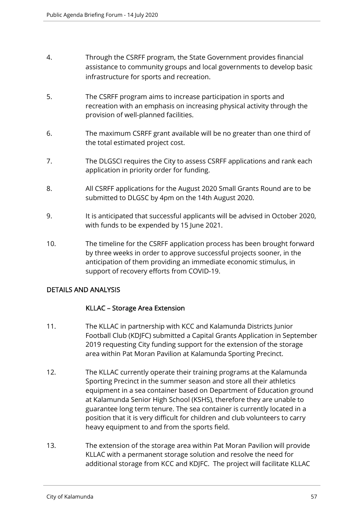- 4. Through the CSRFF program, the State Government provides financial assistance to community groups and local governments to develop basic infrastructure for sports and recreation.
- 5. The CSRFF program aims to increase participation in sports and recreation with an emphasis on increasing physical activity through the provision of well-planned facilities.
- 6. The maximum CSRFF grant available will be no greater than one third of the total estimated project cost.
- 7. The DLGSCI requires the City to assess CSRFF applications and rank each application in priority order for funding.
- 8. All CSRFF applications for the August 2020 Small Grants Round are to be submitted to DLGSC by 4pm on the 14th August 2020.
- 9. It is anticipated that successful applicants will be advised in October 2020, with funds to be expended by 15 June 2021.
- 10. The timeline for the CSRFF application process has been brought forward by three weeks in order to approve successful projects sooner, in the anticipation of them providing an immediate economic stimulus, in support of recovery efforts from COVID-19.

#### DETAILS AND ANALYSIS

#### KLLAC – Storage Area Extension

- 11. The KLLAC in partnership with KCC and Kalamunda Districts Junior Football Club (KDJFC) submitted a Capital Grants Application in September 2019 requesting City funding support for the extension of the storage area within Pat Moran Pavilion at Kalamunda Sporting Precinct.
- 12. The KLLAC currently operate their training programs at the Kalamunda Sporting Precinct in the summer season and store all their athletics equipment in a sea container based on Department of Education ground at Kalamunda Senior High School (KSHS), therefore they are unable to guarantee long term tenure. The sea container is currently located in a position that it is very difficult for children and club volunteers to carry heavy equipment to and from the sports field.
- 13. The extension of the storage area within Pat Moran Pavilion will provide KLLAC with a permanent storage solution and resolve the need for additional storage from KCC and KDJFC. The project will facilitate KLLAC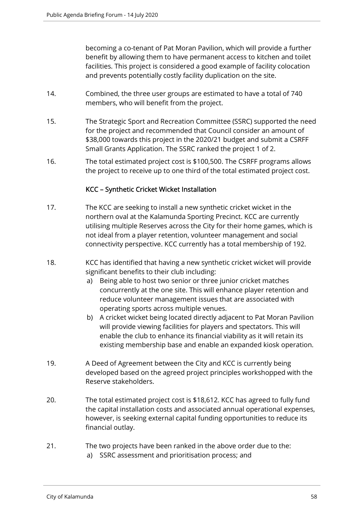becoming a co-tenant of Pat Moran Pavilion, which will provide a further benefit by allowing them to have permanent access to kitchen and toilet facilities. This project is considered a good example of facility colocation and prevents potentially costly facility duplication on the site.

- 14. Combined, the three user groups are estimated to have a total of 740 members, who will benefit from the project.
- 15. The Strategic Sport and Recreation Committee (SSRC) supported the need for the project and recommended that Council consider an amount of \$38,000 towards this project in the 2020/21 budget and submit a CSRFF Small Grants Application. The SSRC ranked the project 1 of 2.
- 16. The total estimated project cost is \$100,500. The CSRFF programs allows the project to receive up to one third of the total estimated project cost.

#### KCC – Synthetic Cricket Wicket Installation

- 17. The KCC are seeking to install a new synthetic cricket wicket in the northern oval at the Kalamunda Sporting Precinct. KCC are currently utilising multiple Reserves across the City for their home games, which is not ideal from a player retention, volunteer management and social connectivity perspective. KCC currently has a total membership of 192.
- 18. KCC has identified that having a new synthetic cricket wicket will provide significant benefits to their club including:
	- a) Being able to host two senior or three junior cricket matches concurrently at the one site. This will enhance player retention and reduce volunteer management issues that are associated with operating sports across multiple venues.
	- b) A cricket wicket being located directly adjacent to Pat Moran Pavilion will provide viewing facilities for players and spectators. This will enable the club to enhance its financial viability as it will retain its existing membership base and enable an expanded kiosk operation.
- 19. A Deed of Agreement between the City and KCC is currently being developed based on the agreed project principles workshopped with the Reserve stakeholders.
- 20. The total estimated project cost is \$18,612. KCC has agreed to fully fund the capital installation costs and associated annual operational expenses, however, is seeking external capital funding opportunities to reduce its financial outlay.
- 21. The two projects have been ranked in the above order due to the:
	- a) SSRC assessment and prioritisation process; and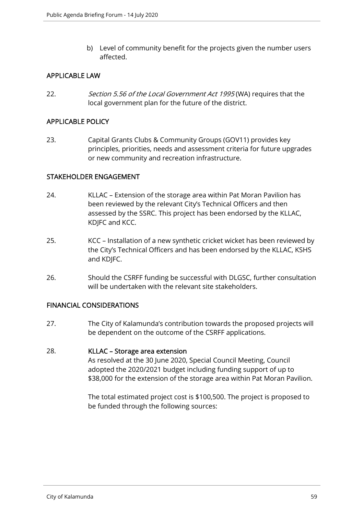b) Level of community benefit for the projects given the number users affected.

#### APPLICABLE LAW

22. Section 5.56 of the Local Government Act 1995 (WA) requires that the local government plan for the future of the district.

#### APPLICABLE POLICY

23. Capital Grants Clubs & Community Groups (GOV11) provides key principles, priorities, needs and assessment criteria for future upgrades or new community and recreation infrastructure.

#### STAKEHOLDER ENGAGEMENT

- 24. KLLAC Extension of the storage area within Pat Moran Pavilion has been reviewed by the relevant City's Technical Officers and then assessed by the SSRC. This project has been endorsed by the KLLAC, KDJFC and KCC.
- 25. KCC Installation of a new synthetic cricket wicket has been reviewed by the City's Technical Officers and has been endorsed by the KLLAC, KSHS and KDJFC.
- 26. Should the CSRFF funding be successful with DLGSC, further consultation will be undertaken with the relevant site stakeholders.

#### FINANCIAL CONSIDERATIONS

27. The City of Kalamunda's contribution towards the proposed projects will be dependent on the outcome of the CSRFF applications.

#### 28. KLLAC – Storage area extension

As resolved at the 30 June 2020, Special Council Meeting, Council adopted the 2020/2021 budget including funding support of up to \$38,000 for the extension of the storage area within Pat Moran Pavilion.

The total estimated project cost is \$100,500. The project is proposed to be funded through the following sources: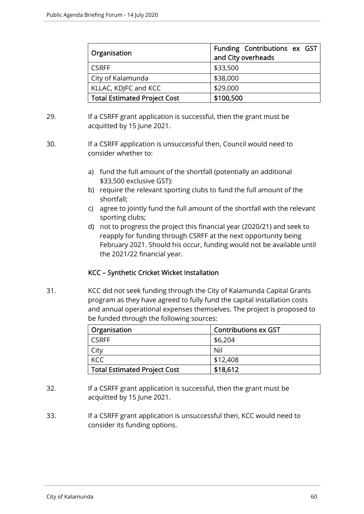| Organisation                        | Funding Contributions ex GST<br>and City overheads |
|-------------------------------------|----------------------------------------------------|
| <b>CSRFF</b>                        | \$33,500                                           |
| City of Kalamunda                   | \$38,000                                           |
| KLLAC, KDJFC and KCC                | \$29,000                                           |
| <b>Total Estimated Project Cost</b> | \$100,500                                          |

- 29. If a CSRFF grant application is successful, then the grant must be acquitted by 15 June 2021.
- 30. If a CSRFF application is unsuccessful then, Council would need to consider whether to:
	- a) fund the full amount of the shortfall (potentially an additional \$33,500 exclusive GST):
	- b) require the relevant sporting clubs to fund the full amount of the shortfall;
	- c) agree to jointly fund the full amount of the shortfall with the relevant sporting clubs;
	- d) not to progress the project this financial year (2020/21) and seek to reapply for funding through CSRFF at the next opportunity being February 2021. Should his occur, funding would not be available until the 2021/22 financial year.

#### KCC – Synthetic Cricket Wicket Installation

31. KCC did not seek funding through the City of Kalamunda Capital Grants program as they have agreed to fully fund the capital installation costs and annual operational expenses themselves. The project is proposed to be funded through the following sources:

| Organisation                        | <b>Contributions ex GST</b> |  |
|-------------------------------------|-----------------------------|--|
| <b>CSRFF</b>                        | \$6,204                     |  |
| City                                | Nil                         |  |
| <b>KCC</b>                          | \$12,408                    |  |
| <b>Total Estimated Project Cost</b> | \$18,612                    |  |

- 32. If a CSRFF grant application is successful, then the grant must be acquitted by 15 June 2021.
- 33. If a CSRFF grant application is unsuccessful then, KCC would need to consider its funding options.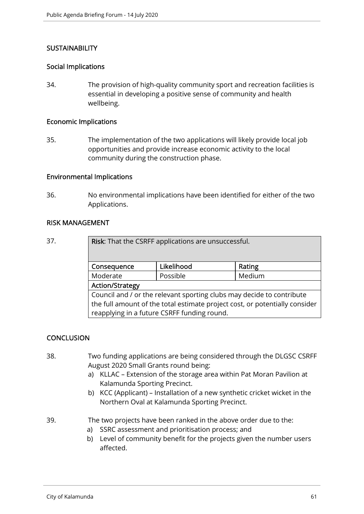#### **SUSTAINABILITY**

#### Social Implications

34. The provision of high-quality community sport and recreation facilities is essential in developing a positive sense of community and health wellbeing.

#### Economic Implications

35. The implementation of the two applications will likely provide local job opportunities and provide increase economic activity to the local community during the construction phase.

#### Environmental Implications

36. No environmental implications have been identified for either of the two Applications.

#### RISK MANAGEMENT

37. Risk: That the CSRFF applications are unsuccessful.

| Consequence                                                                 | Likelihood | Rating |  |  |
|-----------------------------------------------------------------------------|------------|--------|--|--|
| Moderate                                                                    | Possible   | Medium |  |  |
| <b>Action/Strategy</b>                                                      |            |        |  |  |
| Council and / or the relevant sporting clubs may decide to contribute       |            |        |  |  |
| the full amount of the total estimate project cost, or potentially consider |            |        |  |  |
| reapplying in a future CSRFF funding round.                                 |            |        |  |  |

#### **CONCLUSION**

- 38. Two funding applications are being considered through the DLGSC CSRFF August 2020 Small Grants round being:
	- a) KLLAC Extension of the storage area within Pat Moran Pavilion at Kalamunda Sporting Precinct.
	- b) KCC (Applicant) Installation of a new synthetic cricket wicket in the Northern Oval at Kalamunda Sporting Precinct.
- 39. The two projects have been ranked in the above order due to the:
	- a) SSRC assessment and prioritisation process; and
	- b) Level of community benefit for the projects given the number users affected.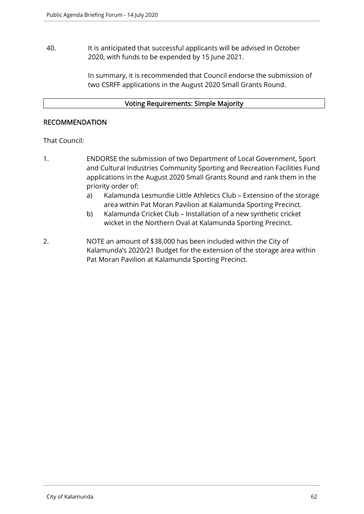40. It is anticipated that successful applicants will be advised in October 2020, with funds to be expended by 15 June 2021.

> In summary, it is recommended that Council endorse the submission of two CSRFF applications in the August 2020 Small Grants Round.

#### Voting Requirements: Simple Majority

#### RECOMMENDATION

That Council:

- 1. ENDORSE the submission of two Department of Local Government, Sport and Cultural Industries Community Sporting and Recreation Facilities Fund applications in the August 2020 Small Grants Round and rank them in the priority order of:
	- a) Kalamunda Lesmurdie Little Athletics Club Extension of the storage area within Pat Moran Pavilion at Kalamunda Sporting Precinct.
	- b) Kalamunda Cricket Club Installation of a new synthetic cricket wicket in the Northern Oval at Kalamunda Sporting Precinct.
- 2. NOTE an amount of \$38,000 has been included within the City of Kalamunda's 2020/21 Budget for the extension of the storage area within Pat Moran Pavilion at Kalamunda Sporting Precinct.